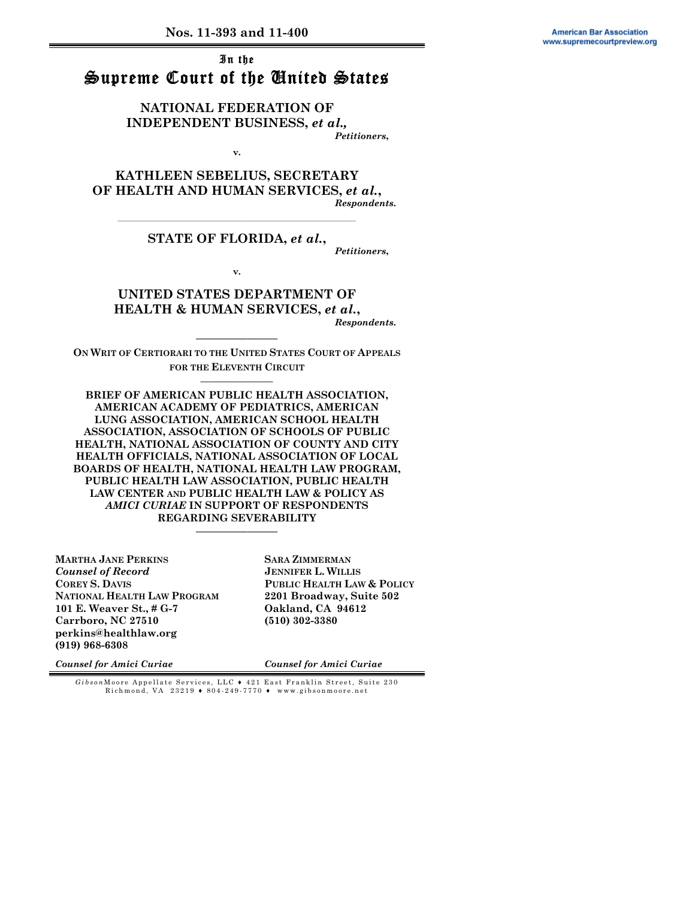## In the Supreme Court of the United States

**NATIONAL FEDERATION OF INDEPENDENT BUSINESS,** *et al., Petitioners***,** 

**v.** 

**KATHLEEN SEBELIUS, SECRETARY OF HEALTH AND HUMAN SERVICES,** *et al.***,** *Respondents***.** 

#### **\_\_\_\_\_\_\_\_\_\_\_\_\_\_\_\_\_\_\_\_\_\_\_\_\_\_\_\_\_\_\_\_\_\_\_\_\_\_\_\_\_\_\_\_\_\_\_\_\_\_\_\_\_\_\_\_\_\_\_\_\_\_\_\_\_\_\_\_\_\_\_\_\_\_\_\_\_\_\_\_\_\_\_\_ STATE OF FLORIDA,** *et al.***,**

*Petitioners***,** 

**v.** 

#### **UNITED STATES DEPARTMENT OF HEALTH & HUMAN SERVICES,** *et al.***,** *Respondents***.**

**———————— ON WRIT OF CERTIORARI TO THE UNITED STATES COURT OF APPEALS FOR THE ELEVENTH CIRCUIT ————————** 

**BRIEF OF AMERICAN PUBLIC HEALTH ASSOCIATION, AMERICAN ACADEMY OF PEDIATRICS, AMERICAN LUNG ASSOCIATION, AMERICAN SCHOOL HEALTH ASSOCIATION, ASSOCIATION OF SCHOOLS OF PUBLIC HEALTH, NATIONAL ASSOCIATION OF COUNTY AND CITY HEALTH OFFICIALS, NATIONAL ASSOCIATION OF LOCAL BOARDS OF HEALTH, NATIONAL HEALTH LAW PROGRAM, PUBLIC HEALTH LAW ASSOCIATION, PUBLIC HEALTH LAW CENTER AND PUBLIC HEALTH LAW & POLICY AS**  *AMICI CURIAE* **IN SUPPORT OF RESPONDENTS REGARDING SEVERABILITY** 

**————————** 

**MARTHA JANE PERKINS** *Counsel of Record*  **COREY S. DAVIS NATIONAL HEALTH LAW PROGRAM 101 E. Weaver St., # G-7 Carrboro, NC 27510 perkins@healthlaw.org (919) 968-6308** 

**SARA ZIMMERMAN JENNIFER L. WILLIS PUBLIC HEALTH LAW & POLICY 2201 Broadway, Suite 502 Oakland, CA 94612 (510) 302-3380** 

*Counsel for Amici Curiae*

*Counsel for Amici Curiae*

*Gibson* Moore Appellate Services, LLC ♦ 421 East Franklin Street, Suite 230 Richmond, VA 23219 ♦ 804-249-7770 ♦ www.gibsonmoore.net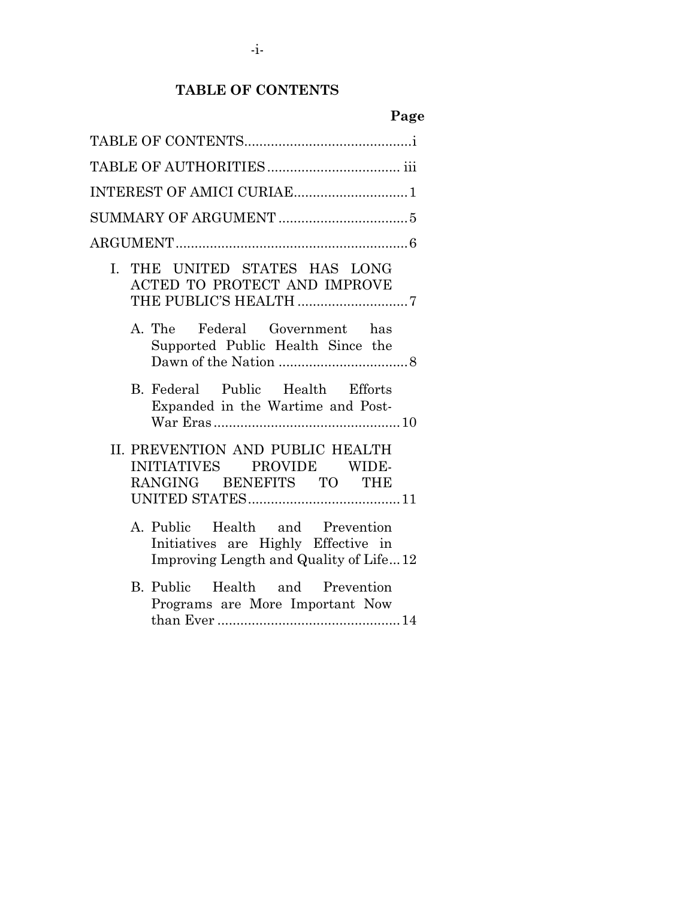# **TABLE OF CONTENTS**

# **Page**

| I. THE UNITED STATES HAS LONG<br>ACTED TO PROTECT AND IMPROVE<br>THE PUBLIC'S HEALTH 7                           |
|------------------------------------------------------------------------------------------------------------------|
| A. The Federal Government has<br>Supported Public Health Since the                                               |
| B. Federal Public Health Efforts<br>Expanded in the Wartime and Post-                                            |
| II. PREVENTION AND PUBLIC HEALTH<br>INITIATIVES PROVIDE WIDE-<br>RANGING BENEFITS TO THE                         |
| A. Public Health and Prevention<br>Initiatives are Highly Effective in<br>Improving Length and Quality of Life12 |
| B. Public Health and Prevention<br>Programs are More Important Now                                               |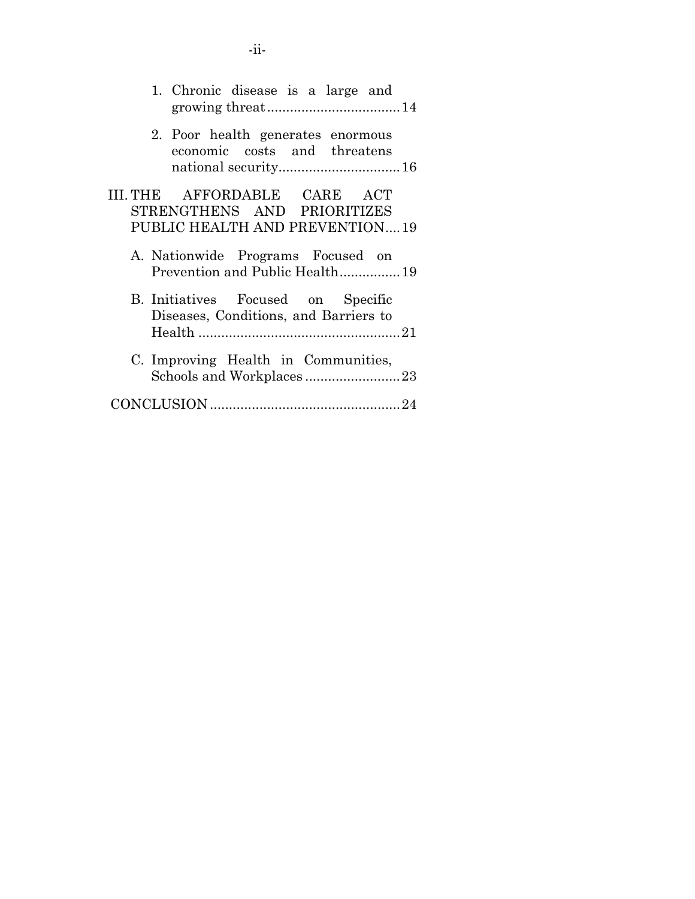| 1. Chronic disease is a large and                                           |
|-----------------------------------------------------------------------------|
| 2. Poor health generates enormous<br>economic costs and threatens           |
| III. THE AFFORDABLE CARE ACT                                                |
| STRENGTHENS AND PRIORITIZES                                                 |
| PUBLIC HEALTH AND PREVENTION19                                              |
|                                                                             |
| A. Nationwide Programs Focused on<br>Prevention and Public Health19         |
| B. Initiatives Focused on Specific<br>Diseases, Conditions, and Barriers to |
| C. Improving Health in Communities,                                         |
|                                                                             |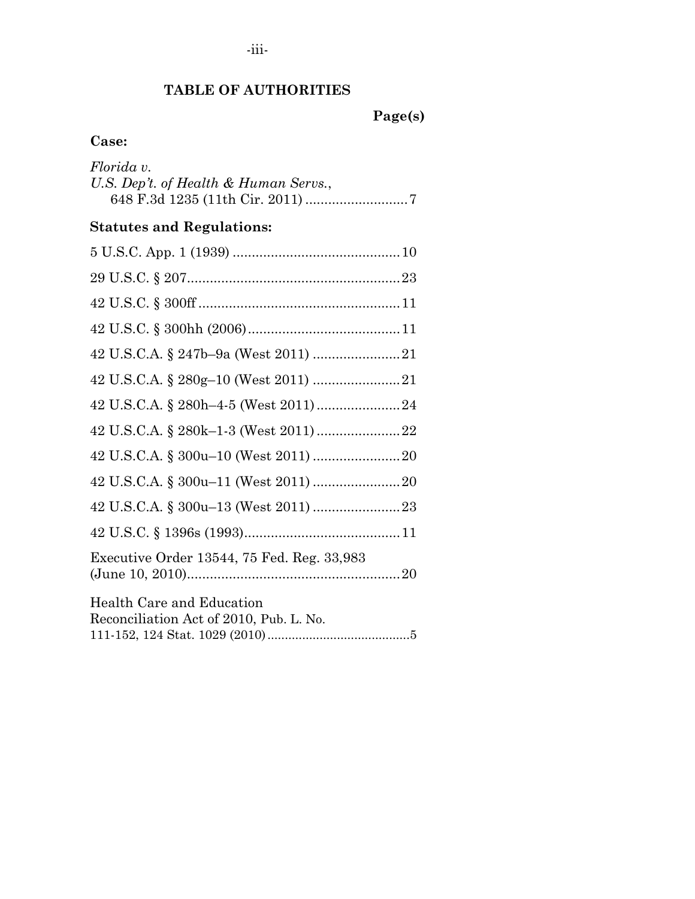# **TABLE OF AUTHORITIES**

# **Case:**

| Florida v.<br>U.S. Dep't. of Health & Human Servs.,                  |
|----------------------------------------------------------------------|
| <b>Statutes and Regulations:</b>                                     |
|                                                                      |
|                                                                      |
|                                                                      |
|                                                                      |
|                                                                      |
|                                                                      |
|                                                                      |
|                                                                      |
|                                                                      |
|                                                                      |
|                                                                      |
|                                                                      |
| Executive Order 13544, 75 Fed. Reg. 33,983                           |
| Health Care and Education<br>Reconciliation Act of 2010, Pub. L. No. |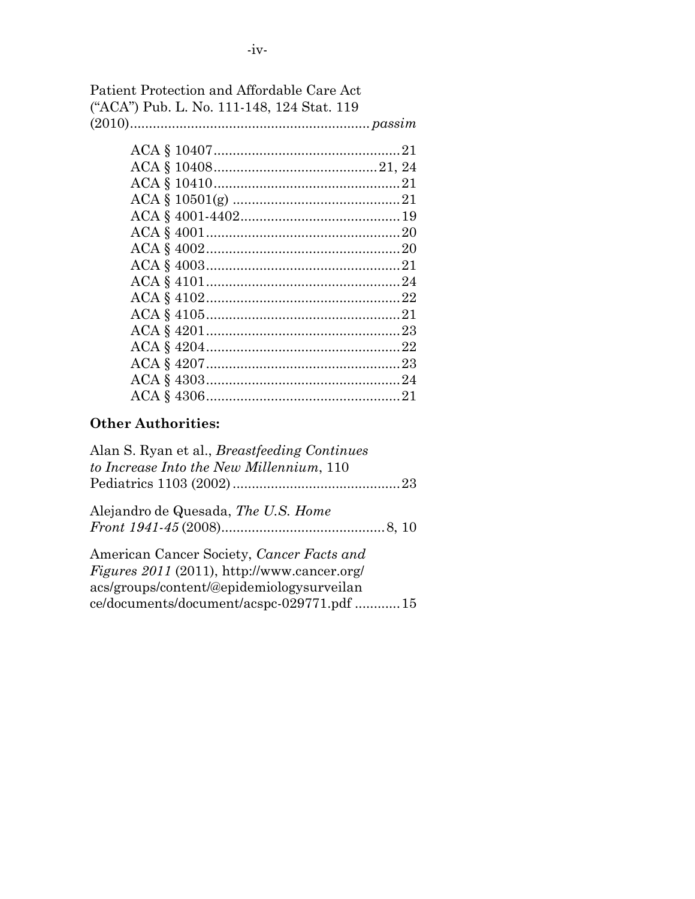| Patient Protection and Affordable Care Act |  |
|--------------------------------------------|--|
| ("ACA") Pub. L. No. 111-148, 124 Stat. 119 |  |
|                                            |  |

# **Other Authorities:**

| Alan S. Ryan et al., <i>Breastfeeding Continues</i><br>to Increase Into the New Millennium, 110 |
|-------------------------------------------------------------------------------------------------|
|                                                                                                 |
| Alejandro de Quesada, The U.S. Home                                                             |
|                                                                                                 |
| American Cancer Society, Cancer Facts and                                                       |
| <i>Figures 2011</i> (2011), http://www.cancer.org/                                              |
| acs/groups/content/@epidemiologysurveilan                                                       |
| ce/documents/document/acspc-029771.pdf 15                                                       |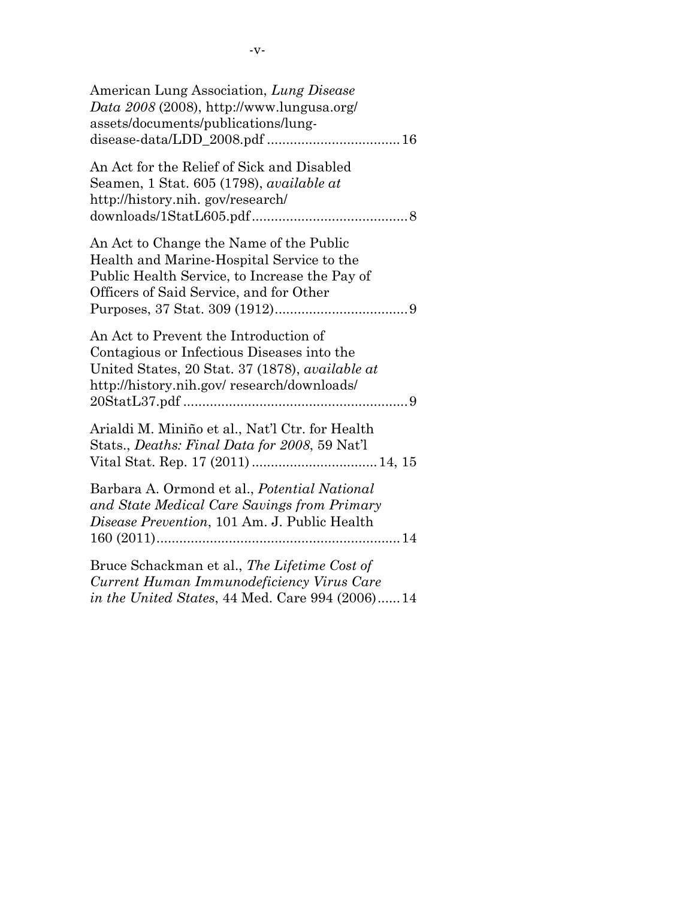| American Lung Association, Lung Disease<br>Data $2008$ (2008), http://www.lungusa.org/<br>assets/documents/publications/lung-                                                               |
|---------------------------------------------------------------------------------------------------------------------------------------------------------------------------------------------|
| An Act for the Relief of Sick and Disabled<br>Seamen, 1 Stat. 605 (1798), <i>available at</i><br>http://history.nih.gov/research/                                                           |
| An Act to Change the Name of the Public<br>Health and Marine-Hospital Service to the<br>Public Health Service, to Increase the Pay of<br>Officers of Said Service, and for Other            |
| An Act to Prevent the Introduction of<br>Contagious or Infectious Diseases into the<br>United States, 20 Stat. 37 (1878), <i>available at</i><br>http://history.nih.gov/research/downloads/ |
| Arialdi M. Miniño et al., Nat'l Ctr. for Health<br>Stats., Deaths: Final Data for 2008, 59 Nat'l                                                                                            |
| Barbara A. Ormond et al., Potential National<br>and State Medical Care Savings from Primary<br>Disease Prevention, 101 Am. J. Public Health                                                 |
| Bruce Schackman et al., The Lifetime Cost of<br>Current Human Immunodeficiency Virus Care<br><i>in the United States, 44 Med. Care 994 (2006)14</i>                                         |

-v-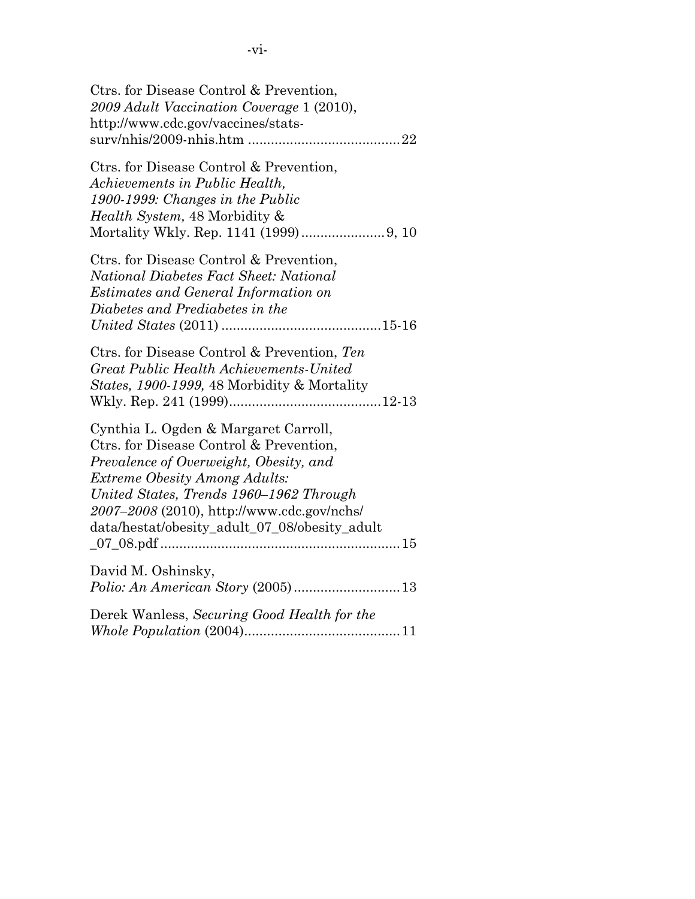| Ctrs. for Disease Control & Prevention,<br>2009 Adult Vaccination Coverage 1 (2010),<br>http://www.cdc.gov/vaccines/stats-                                                                                                                                                                                  |
|-------------------------------------------------------------------------------------------------------------------------------------------------------------------------------------------------------------------------------------------------------------------------------------------------------------|
| Ctrs. for Disease Control & Prevention,<br>Achievements in Public Health,<br>1900-1999: Changes in the Public<br>Health System, 48 Morbidity &                                                                                                                                                              |
| Ctrs. for Disease Control & Prevention,<br>National Diabetes Fact Sheet: National<br><b>Estimates and General Information on</b><br>Diabetes and Prediabetes in the                                                                                                                                         |
| Ctrs. for Disease Control & Prevention, Ten<br>Great Public Health Achievements-United<br><i>States, 1900-1999, 48 Morbidity &amp; Mortality</i>                                                                                                                                                            |
| Cynthia L. Ogden & Margaret Carroll,<br>Ctrs. for Disease Control & Prevention,<br>Prevalence of Overweight, Obesity, and<br><b>Extreme Obesity Among Adults:</b><br>United States, Trends 1960–1962 Through<br>2007-2008 (2010), http://www.cdc.gov/nchs/<br>data/hestat/obesity_adult_07_08/obesity_adult |
| David M. Oshinsky,                                                                                                                                                                                                                                                                                          |
| Derek Wanless, Securing Good Health for the                                                                                                                                                                                                                                                                 |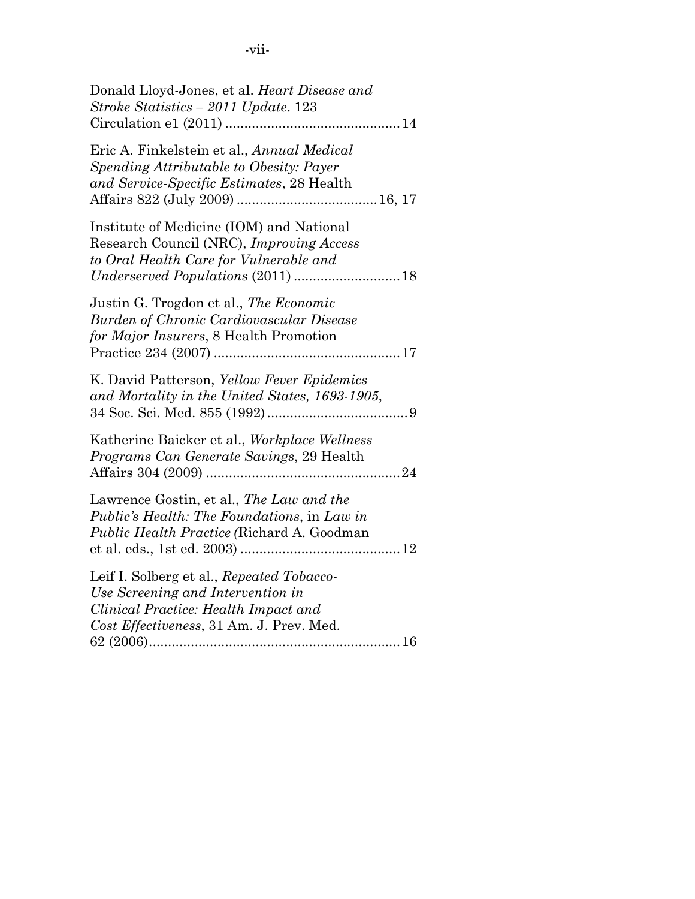| ł |  |
|---|--|
|   |  |
|   |  |
|   |  |
|   |  |
|   |  |
|   |  |

| Donald Lloyd-Jones, et al. Heart Disease and<br>Stroke Statistics - 2011 Update. 123                                                                               |
|--------------------------------------------------------------------------------------------------------------------------------------------------------------------|
| Eric A. Finkelstein et al., Annual Medical<br>Spending Attributable to Obesity: Payer<br>and Service-Specific Estimates, 28 Health                                 |
| Institute of Medicine (IOM) and National<br>Research Council (NRC), Improving Access<br>to Oral Health Care for Vulnerable and                                     |
| Justin G. Trogdon et al., The Economic<br><b>Burden of Chronic Cardiovascular Disease</b><br>for Major Insurers, 8 Health Promotion                                |
| K. David Patterson, Yellow Fever Epidemics<br>and Mortality in the United States, 1693-1905,                                                                       |
| Katherine Baicker et al., Workplace Wellness<br>Programs Can Generate Savings, 29 Health                                                                           |
| Lawrence Gostin, et al., The Law and the<br>Public's Health: The Foundations, in Law in<br>Public Health Practice (Richard A. Goodman                              |
| Leif I. Solberg et al., Repeated Tobacco-<br>Use Screening and Intervention in<br>Clinical Practice: Health Impact and<br>Cost Effectiveness, 31 Am. J. Prev. Med. |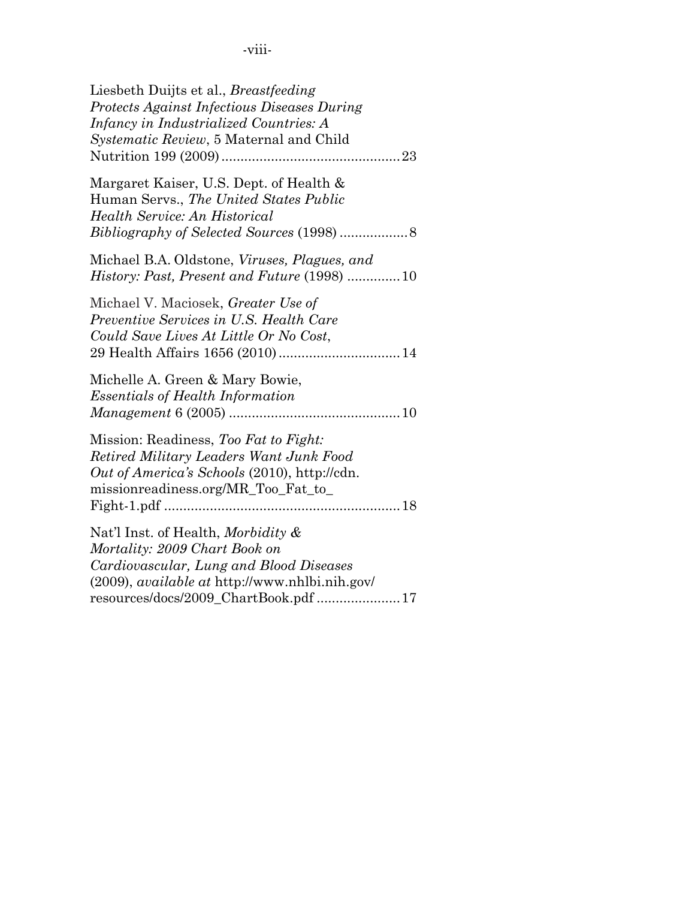| Liesbeth Duijts et al., <i>Breastfeeding</i><br>Protects Against Infectious Diseases During<br>Infancy in Industrialized Countries: A<br><i>Systematic Review</i> , 5 Maternal and Child                           |
|--------------------------------------------------------------------------------------------------------------------------------------------------------------------------------------------------------------------|
| Margaret Kaiser, U.S. Dept. of Health &<br>Human Servs., The United States Public<br>Health Service: An Historical                                                                                                 |
| Michael B.A. Oldstone, Viruses, Plagues, and<br><i>History: Past, Present and Future</i> (1998) 10                                                                                                                 |
| Michael V. Maciosek, Greater Use of<br>Preventive Services in U.S. Health Care<br>Could Save Lives At Little Or No Cost,                                                                                           |
| Michelle A. Green & Mary Bowie,<br><b>Essentials of Health Information</b>                                                                                                                                         |
| Mission: Readiness, Too Fat to Fight:<br>Retired Military Leaders Want Junk Food<br>Out of America's Schools (2010), http://cdn.<br>missionreadiness.org/MR_Too_Fat_to_                                            |
| Nat'l Inst. of Health, Morbidity &<br>Mortality: 2009 Chart Book on<br>Cardiovascular, Lung and Blood Diseases<br>$(2009)$ , <i>available at http://www.nhlbi.nih.gov/</i><br>resources/docs/2009_ChartBook.pdf 17 |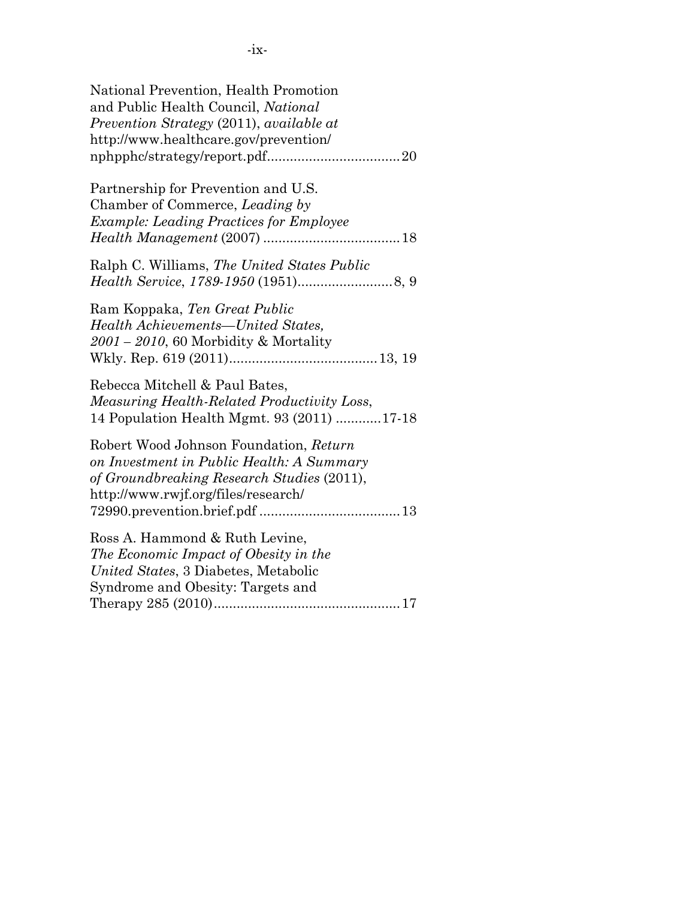| National Prevention, Health Promotion<br>and Public Health Council, National<br>Prevention Strategy (2011), available at<br>http://www.healthcare.gov/prevention/        |
|--------------------------------------------------------------------------------------------------------------------------------------------------------------------------|
| Partnership for Prevention and U.S.<br>Chamber of Commerce, Leading by<br><b>Example: Leading Practices for Employee</b>                                                 |
| Ralph C. Williams, The United States Public                                                                                                                              |
| Ram Koppaka, Ten Great Public<br>Health Achievements—United States,<br>2001 - 2010, 60 Morbidity & Mortality                                                             |
| Rebecca Mitchell & Paul Bates,<br>Measuring Health-Related Productivity Loss,<br>14 Population Health Mgmt. 93 (2011) 17-18                                              |
| Robert Wood Johnson Foundation, Return<br>on Investment in Public Health: A Summary<br>of Groundbreaking Research Studies (2011),<br>http://www.rwjf.org/files/research/ |
| Ross A. Hammond & Ruth Levine,<br>The Economic Impact of Obesity in the<br>United States, 3 Diabetes, Metabolic<br>Syndrome and Obesity: Targets and                     |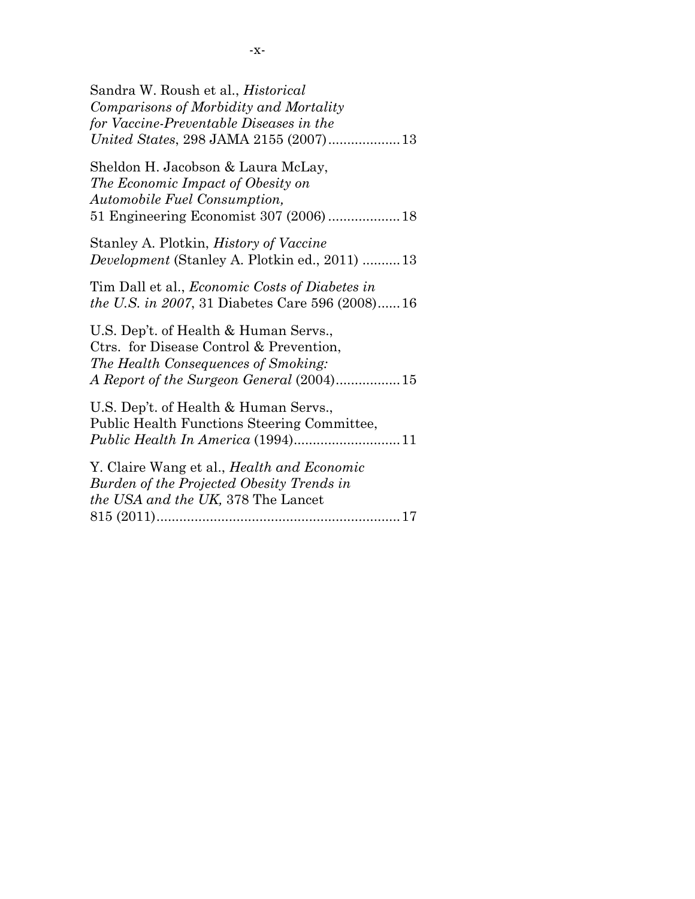| Sandra W. Roush et al., <i>Historical</i><br>Comparisons of Morbidity and Mortality<br>for Vaccine-Preventable Diseases in the                                       |
|----------------------------------------------------------------------------------------------------------------------------------------------------------------------|
| Sheldon H. Jacobson & Laura McLay,<br>The Economic Impact of Obesity on<br>Automobile Fuel Consumption,<br>51 Engineering Economist 307 (2006) 18                    |
| Stanley A. Plotkin, <i>History of Vaccine</i><br><i>Development</i> (Stanley A. Plotkin ed., 2011) 13                                                                |
| Tim Dall et al., <i>Economic Costs of Diabetes in</i><br><i>the U.S. in 2007, 31 Diabetes Care 596 (2008)16</i>                                                      |
| U.S. Dep't. of Health & Human Servs.,<br>Ctrs. for Disease Control & Prevention,<br>The Health Consequences of Smoking:<br>A Report of the Surgeon General (2004) 15 |
| U.S. Dep't. of Health & Human Servs.,<br>Public Health Functions Steering Committee,                                                                                 |
| Y. Claire Wang et al., <i>Health and Economic</i><br>Burden of the Projected Obesity Trends in<br><i>the USA and the UK, 378 The Lancet</i>                          |
|                                                                                                                                                                      |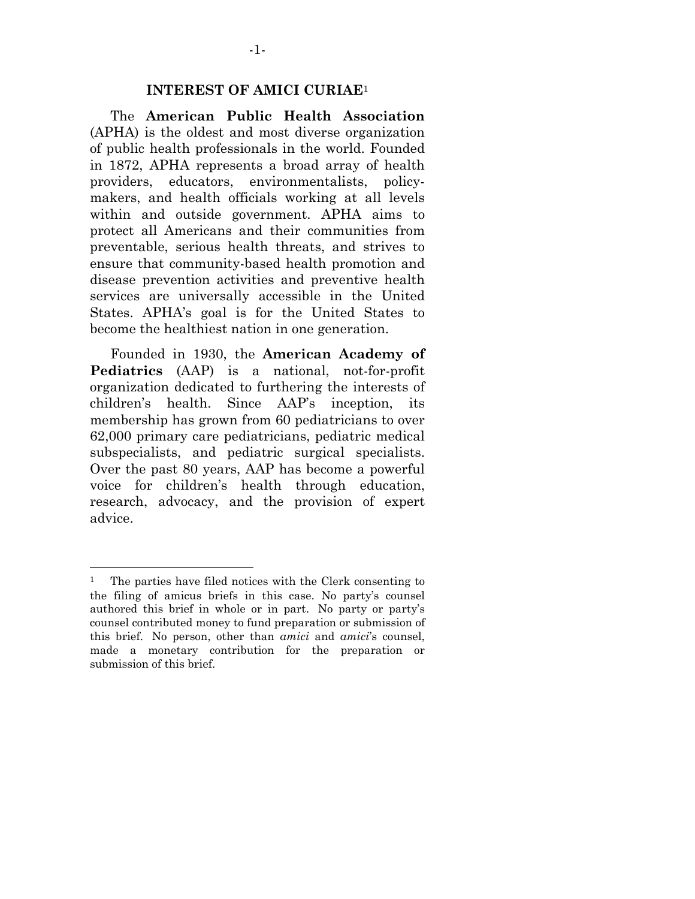#### **INTEREST OF AMICI CURIAE**<sup>1</sup>

 The **American Public Health Association** (APHA) is the oldest and most diverse organization of public health professionals in the world. Founded in 1872, APHA represents a broad array of health providers, educators, environmentalists, policymakers, and health officials working at all levels within and outside government. APHA aims to protect all Americans and their communities from preventable, serious health threats, and strives to ensure that community-based health promotion and disease prevention activities and preventive health services are universally accessible in the United States. APHA's goal is for the United States to become the healthiest nation in one generation.

 Founded in 1930, the **American Academy of Pediatrics** (AAP) is a national, not-for-profit organization dedicated to furthering the interests of children's health. Since AAP's inception, its membership has grown from 60 pediatricians to over 62,000 primary care pediatricians, pediatric medical subspecialists, and pediatric surgical specialists. Over the past 80 years, AAP has become a powerful voice for children's health through education, research, advocacy, and the provision of expert advice.

<sup>1</sup> The parties have filed notices with the Clerk consenting to the filing of amicus briefs in this case. No party's counsel authored this brief in whole or in part. No party or party's counsel contributed money to fund preparation or submission of this brief. No person, other than *amici* and *amici*'s counsel, made a monetary contribution for the preparation or submission of this brief.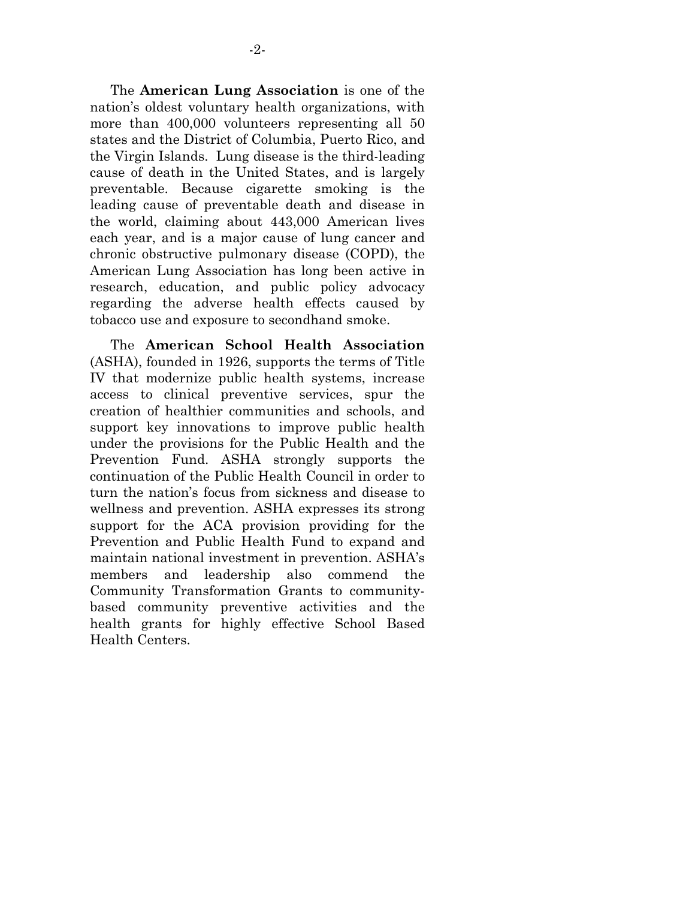The **American Lung Association** is one of the nation's oldest voluntary health organizations, with more than 400,000 volunteers representing all 50 states and the District of Columbia, Puerto Rico, and the Virgin Islands. Lung disease is the third-leading cause of death in the United States, and is largely preventable. Because cigarette smoking is the leading cause of preventable death and disease in the world, claiming about 443,000 American lives each year, and is a major cause of lung cancer and chronic obstructive pulmonary disease (COPD), the American Lung Association has long been active in research, education, and public policy advocacy regarding the adverse health effects caused by tobacco use and exposure to secondhand smoke.

 The **American School Health Association** (ASHA), founded in 1926, supports the terms of Title IV that modernize public health systems, increase access to clinical preventive services, spur the creation of healthier communities and schools, and support key innovations to improve public health under the provisions for the Public Health and the Prevention Fund. ASHA strongly supports the continuation of the Public Health Council in order to turn the nation's focus from sickness and disease to wellness and prevention. ASHA expresses its strong support for the ACA provision providing for the Prevention and Public Health Fund to expand and maintain national investment in prevention. ASHA's members and leadership also commend the Community Transformation Grants to communitybased community preventive activities and the health grants for highly effective School Based Health Centers.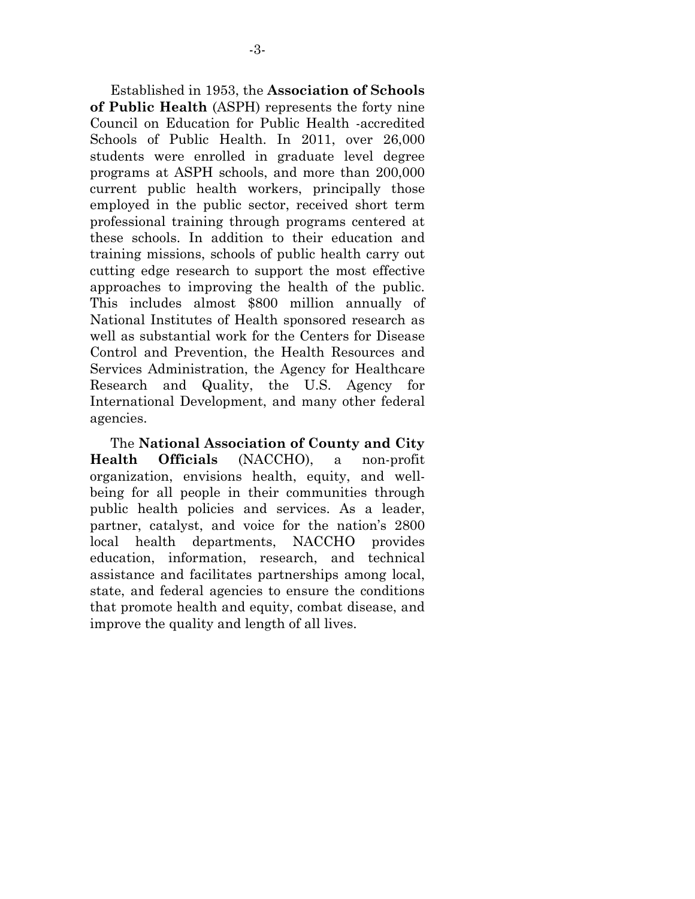Established in 1953, the **Association of Schools of Public Health** (ASPH) represents the forty nine Council on Education for Public Health -accredited Schools of Public Health. In 2011, over 26,000 students were enrolled in graduate level degree programs at ASPH schools, and more than 200,000 current public health workers, principally those employed in the public sector, received short term professional training through programs centered at these schools. In addition to their education and training missions, schools of public health carry out cutting edge research to support the most effective approaches to improving the health of the public. This includes almost \$800 million annually of National Institutes of Health sponsored research as well as substantial work for the Centers for Disease Control and Prevention, the Health Resources and Services Administration, the Agency for Healthcare Research and Quality, the U.S. Agency for International Development, and many other federal agencies.

 The **National Association of County and City Health Officials** (NACCHO), a non-profit organization, envisions health, equity, and wellbeing for all people in their communities through public health policies and services. As a leader, partner, catalyst, and voice for the nation's 2800 local health departments, NACCHO provides education, information, research, and technical assistance and facilitates partnerships among local, state, and federal agencies to ensure the conditions that promote health and equity, combat disease, and improve the quality and length of all lives.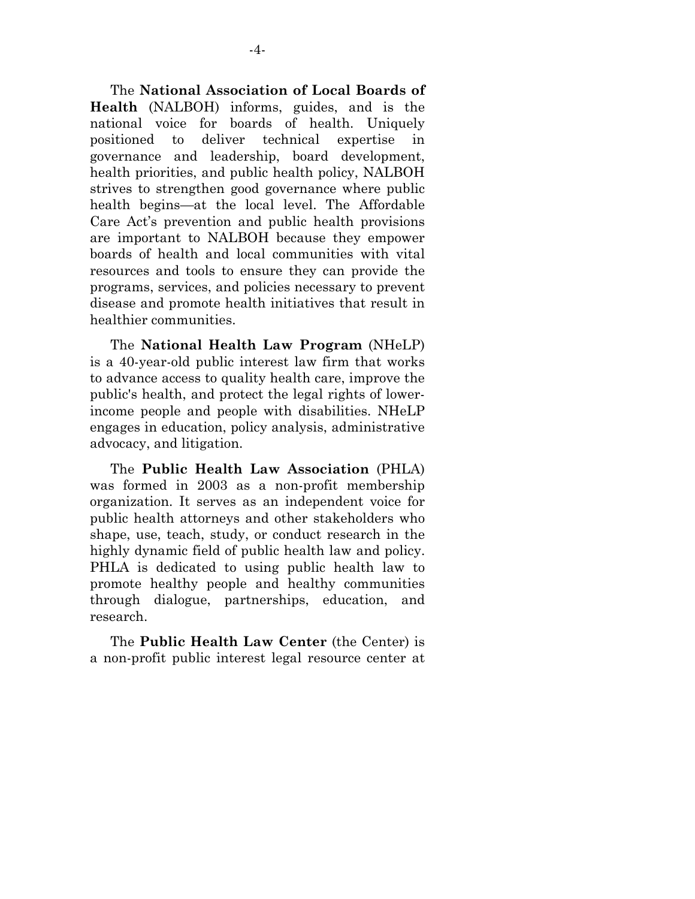The **National Association of Local Boards of Health** (NALBOH) informs, guides, and is the national voice for boards of health. Uniquely positioned to deliver technical expertise in governance and leadership, board development, health priorities, and public health policy, NALBOH strives to strengthen good governance where public health begins—at the local level. The Affordable Care Act's prevention and public health provisions are important to NALBOH because they empower boards of health and local communities with vital resources and tools to ensure they can provide the programs, services, and policies necessary to prevent disease and promote health initiatives that result in healthier communities.

 The **National Health Law Program** (NHeLP) is a 40-year-old public interest law firm that works to advance access to quality health care, improve the public's health, and protect the legal rights of lowerincome people and people with disabilities. NHeLP engages in education, policy analysis, administrative advocacy, and litigation.

 The **Public Health Law Association** (PHLA) was formed in 2003 as a non-profit membership organization. It serves as an independent voice for public health attorneys and other stakeholders who shape, use, teach, study, or conduct research in the highly dynamic field of public health law and policy. PHLA is dedicated to using public health law to promote healthy people and healthy communities through dialogue, partnerships, education, and research.

 The **Public Health Law Center** (the Center) is a non-profit public interest legal resource center at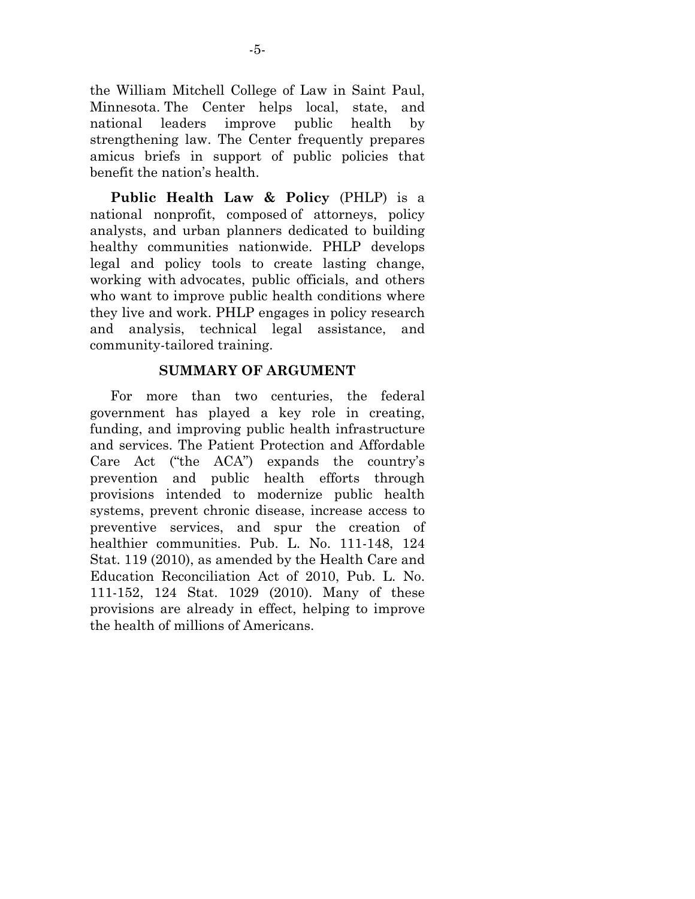the William Mitchell College of Law in Saint Paul, Minnesota. The Center helps local, state, and national leaders improve public health by strengthening law. The Center frequently prepares amicus briefs in support of public policies that benefit the nation's health.

 **Public Health Law & Policy** (PHLP) is a national nonprofit, composed of attorneys, policy analysts, and urban planners dedicated to building healthy communities nationwide. PHLP develops legal and policy tools to create lasting change, working with advocates, public officials, and others who want to improve public health conditions where they live and work. PHLP engages in policy research and analysis, technical legal assistance, and community-tailored training.

#### **SUMMARY OF ARGUMENT**

 For more than two centuries, the federal government has played a key role in creating, funding, and improving public health infrastructure and services. The Patient Protection and Affordable Care Act ("the ACA") expands the country's prevention and public health efforts through provisions intended to modernize public health systems, prevent chronic disease, increase access to preventive services, and spur the creation of healthier communities. Pub. L. No. 111-148, 124 Stat. 119 (2010), as amended by the Health Care and Education Reconciliation Act of 2010, Pub. L. No. 111-152, 124 Stat. 1029 (2010). Many of these provisions are already in effect, helping to improve the health of millions of Americans.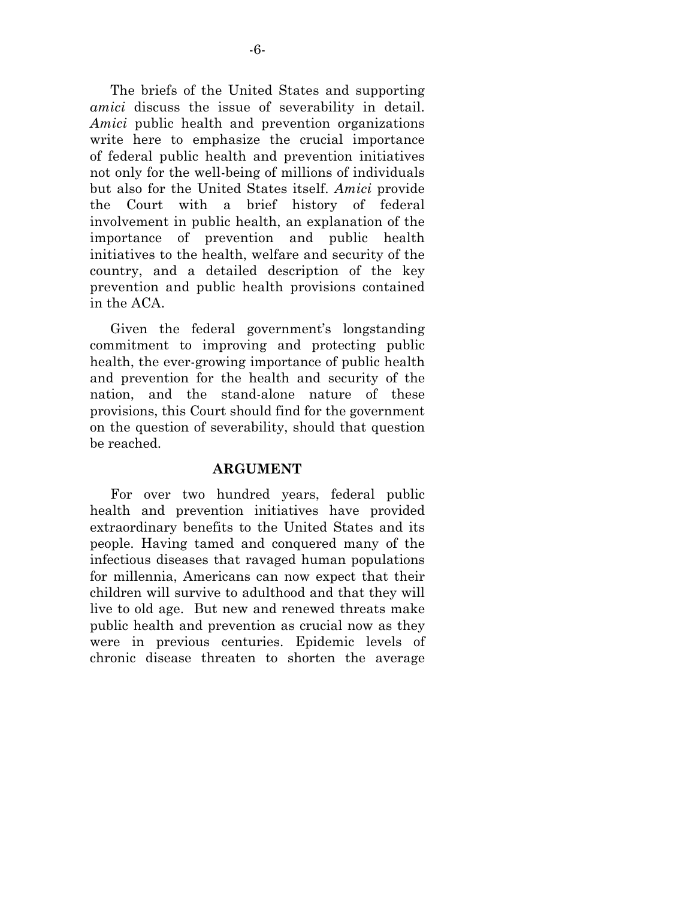The briefs of the United States and supporting *amici* discuss the issue of severability in detail. *Amici* public health and prevention organizations write here to emphasize the crucial importance of federal public health and prevention initiatives not only for the well-being of millions of individuals but also for the United States itself. *Amici* provide the Court with a brief history of federal involvement in public health, an explanation of the importance of prevention and public health initiatives to the health, welfare and security of the country, and a detailed description of the key prevention and public health provisions contained in the ACA.

 Given the federal government's longstanding commitment to improving and protecting public health, the ever-growing importance of public health and prevention for the health and security of the nation, and the stand-alone nature of these provisions, this Court should find for the government on the question of severability, should that question be reached.

#### **ARGUMENT**

 For over two hundred years, federal public health and prevention initiatives have provided extraordinary benefits to the United States and its people. Having tamed and conquered many of the infectious diseases that ravaged human populations for millennia, Americans can now expect that their children will survive to adulthood and that they will live to old age. But new and renewed threats make public health and prevention as crucial now as they were in previous centuries. Epidemic levels of chronic disease threaten to shorten the average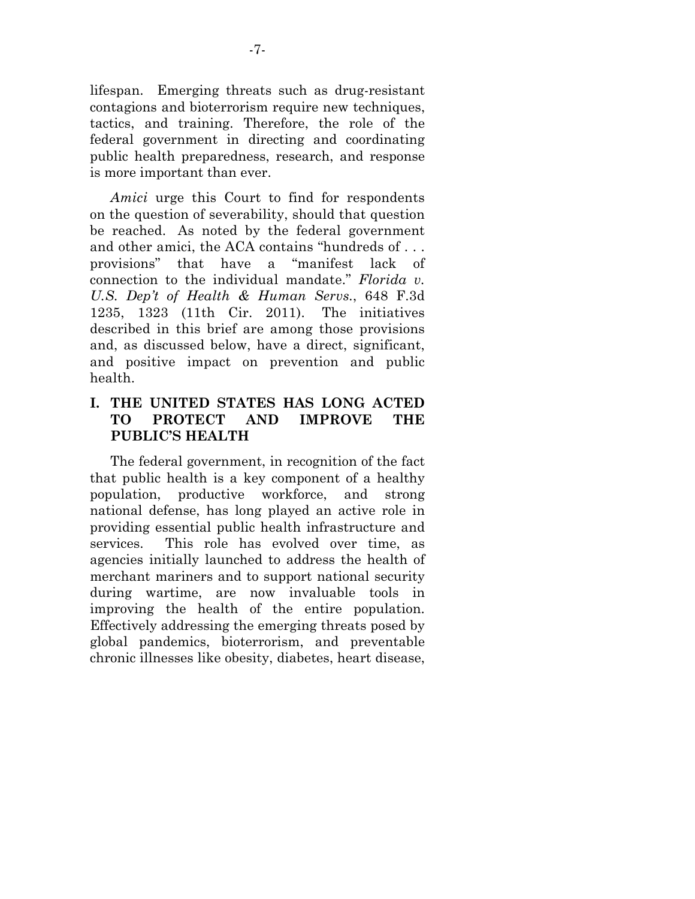lifespan. Emerging threats such as drug-resistant contagions and bioterrorism require new techniques, tactics, and training. Therefore, the role of the federal government in directing and coordinating public health preparedness, research, and response is more important than ever.

*Amici* urge this Court to find for respondents on the question of severability, should that question be reached. As noted by the federal government and other amici, the ACA contains "hundreds of . . . provisions" that have a "manifest lack of connection to the individual mandate." *Florida v. U.S. Dep't of Health & Human Servs.*, 648 F.3d 1235, 1323 (11th Cir. 2011). The initiatives described in this brief are among those provisions and, as discussed below, have a direct, significant, and positive impact on prevention and public health.

### **I. THE UNITED STATES HAS LONG ACTED TO PROTECT AND IMPROVE THE PUBLIC'S HEALTH**

 The federal government, in recognition of the fact that public health is a key component of a healthy population, productive workforce, and strong national defense, has long played an active role in providing essential public health infrastructure and services. This role has evolved over time, as agencies initially launched to address the health of merchant mariners and to support national security during wartime, are now invaluable tools in improving the health of the entire population. Effectively addressing the emerging threats posed by global pandemics, bioterrorism, and preventable chronic illnesses like obesity, diabetes, heart disease,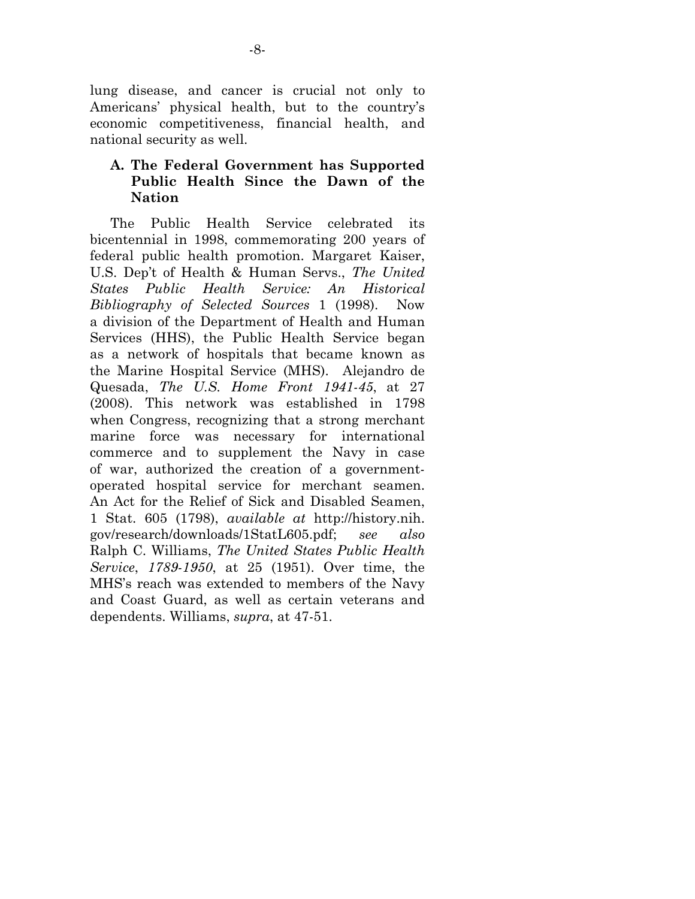lung disease, and cancer is crucial not only to Americans' physical health, but to the country's economic competitiveness, financial health, and national security as well.

### **A. The Federal Government has Supported Public Health Since the Dawn of the Nation**

The Public Health Service celebrated its bicentennial in 1998, commemorating 200 years of federal public health promotion. Margaret Kaiser, U.S. Dep't of Health & Human Servs., *The United States Public Health Service: An Historical Bibliography of Selected Sources* 1 (1998). Now a division of the Department of Health and Human Services (HHS), the Public Health Service began as a network of hospitals that became known as the Marine Hospital Service (MHS). Alejandro de Quesada, *The U.S. Home Front 1941-45*, at 27 (2008). This network was established in 1798 when Congress, recognizing that a strong merchant marine force was necessary for international commerce and to supplement the Navy in case of war, authorized the creation of a governmentoperated hospital service for merchant seamen. An Act for the Relief of Sick and Disabled Seamen, 1 Stat. 605 (1798), *available at* http://history.nih. gov/research/downloads/1StatL605.pdf; *see also*  Ralph C. Williams, *The United States Public Health Service*, *1789-1950*, at 25 (1951). Over time, the MHS's reach was extended to members of the Navy and Coast Guard, as well as certain veterans and dependents. Williams, *supra*, at 47-51.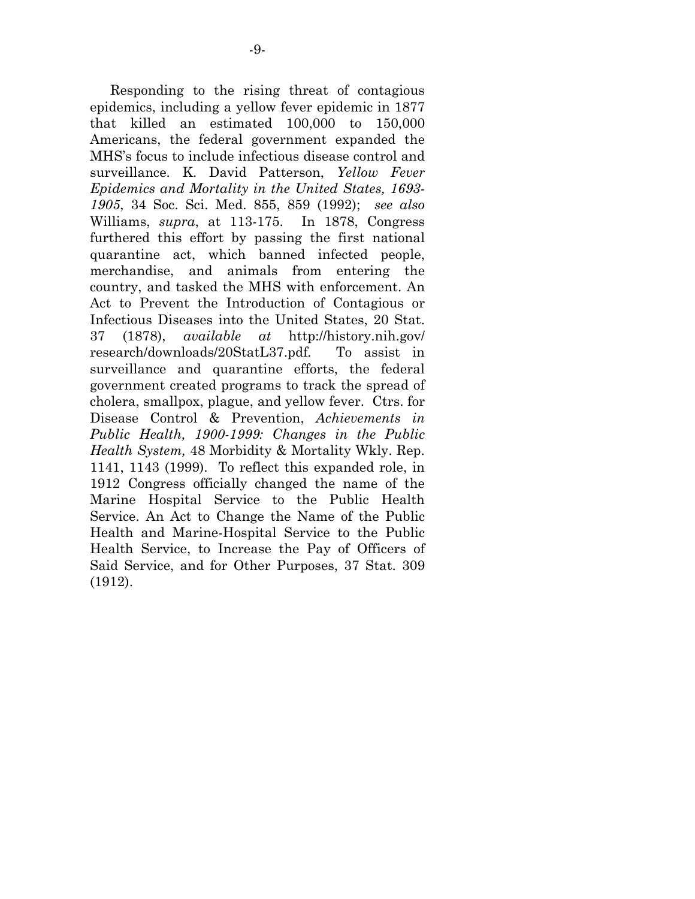Responding to the rising threat of contagious epidemics, including a yellow fever epidemic in 1877 that killed an estimated 100,000 to 150,000 Americans, the federal government expanded the MHS's focus to include infectious disease control and surveillance. K. David Patterson, *Yellow Fever Epidemics and Mortality in the United States, 1693- 1905*, 34 Soc. Sci. Med. 855, 859 (1992); *see also*  Williams, *supra*, at 113-175. In 1878, Congress furthered this effort by passing the first national quarantine act, which banned infected people, merchandise, and animals from entering the country, and tasked the MHS with enforcement. An Act to Prevent the Introduction of Contagious or Infectious Diseases into the United States, 20 Stat. 37 (1878), *available at* http://history.nih.gov/ research/downloads/20StatL37.pdf*.* To assist in surveillance and quarantine efforts, the federal government created programs to track the spread of cholera, smallpox, plague, and yellow fever. Ctrs. for Disease Control & Prevention, *Achievements in Public Health, 1900-1999: Changes in the Public Health System,* 48 Morbidity & Mortality Wkly. Rep. 1141, 1143 (1999). To reflect this expanded role, in 1912 Congress officially changed the name of the Marine Hospital Service to the Public Health Service. An Act to Change the Name of the Public Health and Marine-Hospital Service to the Public Health Service, to Increase the Pay of Officers of Said Service, and for Other Purposes, 37 Stat. 309 (1912).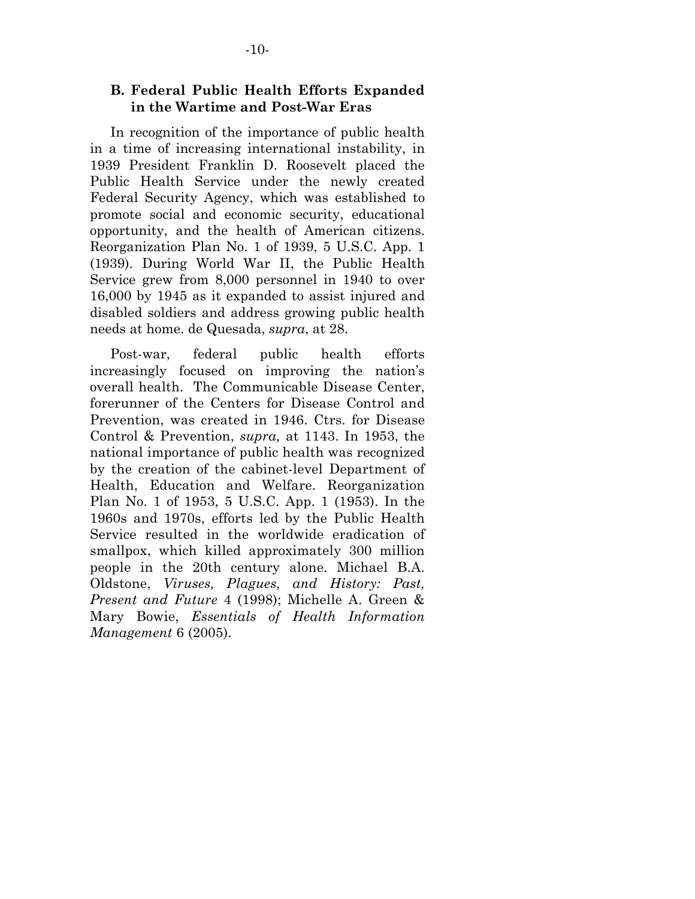#### **B. Federal Public Health Efforts Expanded in the Wartime and Post-War Eras**

In recognition of the importance of public health in a time of increasing international instability, in 1939 President Franklin D. Roosevelt placed the Public Health Service under the newly created Federal Security Agency, which was established to promote social and economic security, educational opportunity, and the health of American citizens. Reorganization Plan No. 1 of 1939, 5 U.S.C. App. 1 (1939). During World War II, the Public Health Service grew from 8,000 personnel in 1940 to over 16,000 by 1945 as it expanded to assist injured and disabled soldiers and address growing public health needs at home. de Quesada, *supra*, at 28.

Post-war, federal public health efforts increasingly focused on improving the nation's overall health. The Communicable Disease Center, forerunner of the Centers for Disease Control and Prevention, was created in 1946. Ctrs. for Disease Control & Prevention, *supra,* at 1143. In 1953, the national importance of public health was recognized by the creation of the cabinet-level Department of Health, Education and Welfare. Reorganization Plan No. 1 of 1953, 5 U.S.C. App. 1 (1953). In the 1960s and 1970s, efforts led by the Public Health Service resulted in the worldwide eradication of smallpox, which killed approximately 300 million people in the 20th century alone. Michael B.A. Oldstone, *Viruses, Plagues, and History: Past, Present and Future* 4 (1998); Michelle A. Green & Mary Bowie, *Essentials of Health Information Management* 6 (2005).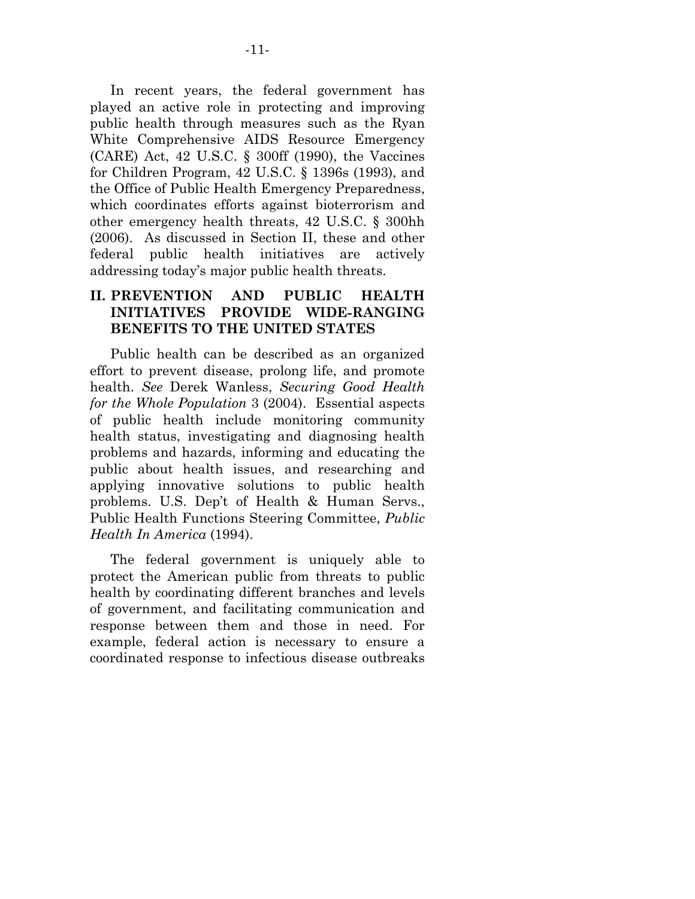In recent years, the federal government has played an active role in protecting and improving public health through measures such as the Ryan White Comprehensive AIDS Resource Emergency (CARE) Act, 42 U.S.C. § 300ff (1990), the Vaccines for Children Program, 42 U.S.C. § 1396s (1993), and the Office of Public Health Emergency Preparedness, which coordinates efforts against bioterrorism and other emergency health threats, 42 U.S.C. § 300hh (2006). As discussed in Section II, these and other federal public health initiatives are actively addressing today's major public health threats.

### **II. PREVENTION AND PUBLIC HEALTH INITIATIVES PROVIDE WIDE-RANGING BENEFITS TO THE UNITED STATES**

Public health can be described as an organized effort to prevent disease, prolong life, and promote health. *See* Derek Wanless, *Securing Good Health for the Whole Population* 3 (2004). Essential aspects of public health include monitoring community health status, investigating and diagnosing health problems and hazards, informing and educating the public about health issues, and researching and applying innovative solutions to public health problems. U.S. Dep't of Health & Human Servs., Public Health Functions Steering Committee, *Public Health In America* (1994).

The federal government is uniquely able to protect the American public from threats to public health by coordinating different branches and levels of government, and facilitating communication and response between them and those in need. For example, federal action is necessary to ensure a coordinated response to infectious disease outbreaks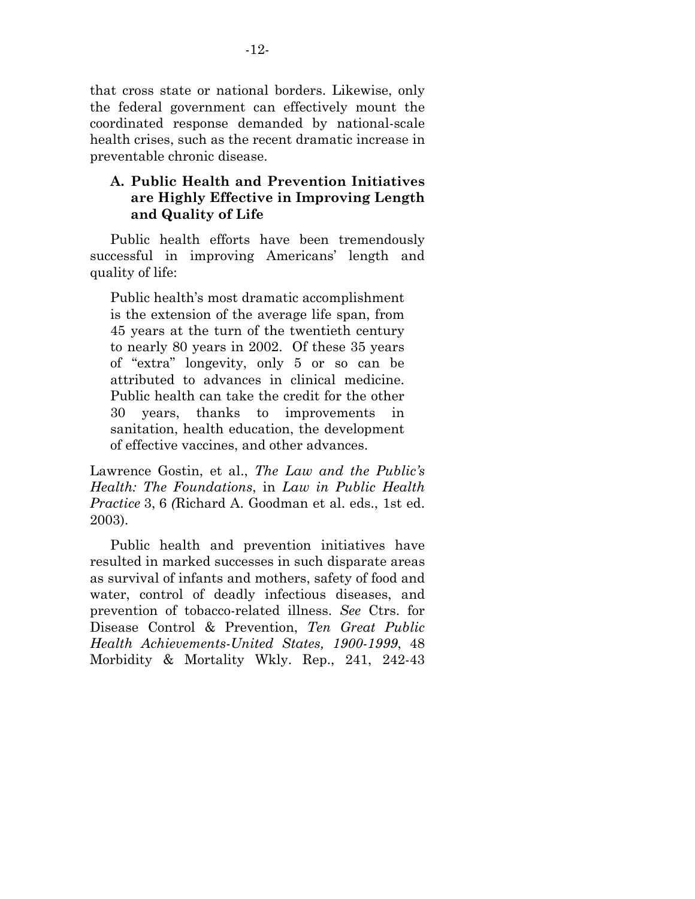that cross state or national borders. Likewise, only the federal government can effectively mount the coordinated response demanded by national-scale health crises, such as the recent dramatic increase in preventable chronic disease.

### **A. Public Health and Prevention Initiatives are Highly Effective in Improving Length and Quality of Life**

Public health efforts have been tremendously successful in improving Americans' length and quality of life:

Public health's most dramatic accomplishment is the extension of the average life span, from 45 years at the turn of the twentieth century to nearly 80 years in 2002. Of these 35 years of "extra" longevity, only 5 or so can be attributed to advances in clinical medicine. Public health can take the credit for the other 30 years, thanks to improvements in sanitation, health education, the development of effective vaccines, and other advances.

Lawrence Gostin, et al., *The Law and the Public's Health: The Foundations*, in *Law in Public Health Practice* 3, 6 *(*Richard A. Goodman et al. eds., 1st ed. 2003).

Public health and prevention initiatives have resulted in marked successes in such disparate areas as survival of infants and mothers, safety of food and water, control of deadly infectious diseases, and prevention of tobacco-related illness. *See* Ctrs. for Disease Control & Prevention, *Ten Great Public Health Achievements-United States, 1900-1999*, 48 Morbidity & Mortality Wkly. Rep., 241, 242-43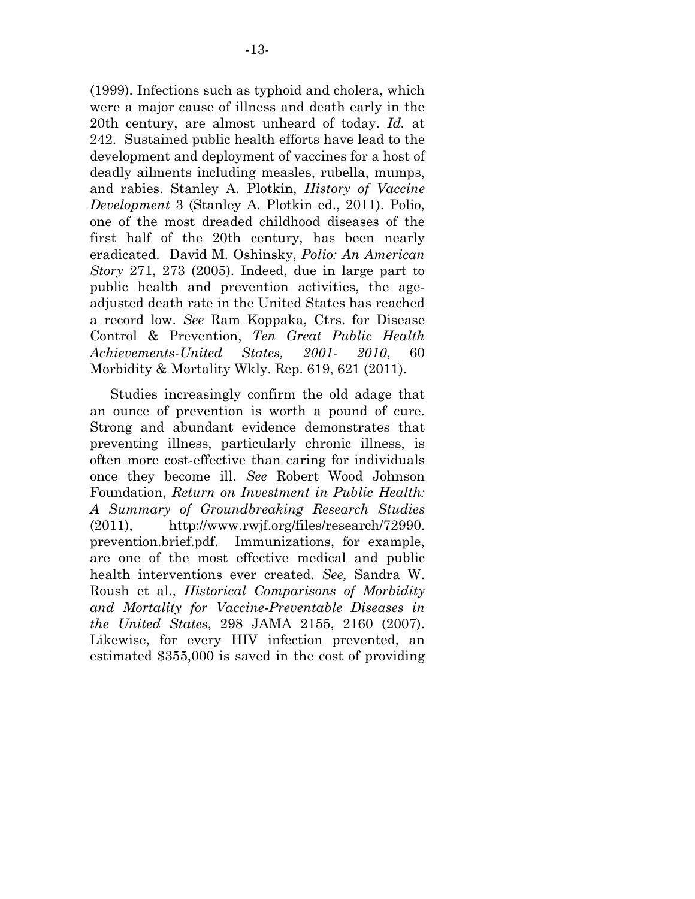(1999). Infections such as typhoid and cholera, which were a major cause of illness and death early in the 20th century, are almost unheard of today. *Id.* at 242. Sustained public health efforts have lead to the development and deployment of vaccines for a host of deadly ailments including measles, rubella, mumps, and rabies. Stanley A. Plotkin, *History of Vaccine Development* 3 (Stanley A. Plotkin ed., 2011). Polio, one of the most dreaded childhood diseases of the first half of the 20th century, has been nearly eradicated. David M. Oshinsky, *Polio: An American Story* 271, 273 (2005). Indeed, due in large part to public health and prevention activities, the ageadjusted death rate in the United States has reached a record low. *See* Ram Koppaka, Ctrs. for Disease Control & Prevention, *Ten Great Public Health Achievements-United States, 2001- 2010*, 60 Morbidity & Mortality Wkly. Rep. 619, 621 (2011).

Studies increasingly confirm the old adage that an ounce of prevention is worth a pound of cure. Strong and abundant evidence demonstrates that preventing illness, particularly chronic illness, is often more cost-effective than caring for individuals once they become ill. *See* Robert Wood Johnson Foundation, *Return on Investment in Public Health: A Summary of Groundbreaking Research Studies* (2011), http://www.rwjf.org/files/research/72990. prevention.brief.pdf. Immunizations, for example, are one of the most effective medical and public health interventions ever created. *See,* Sandra W. Roush et al., *Historical Comparisons of Morbidity and Mortality for Vaccine-Preventable Diseases in the United States*, 298 JAMA 2155, 2160 (2007). Likewise, for every HIV infection prevented, an estimated \$355,000 is saved in the cost of providing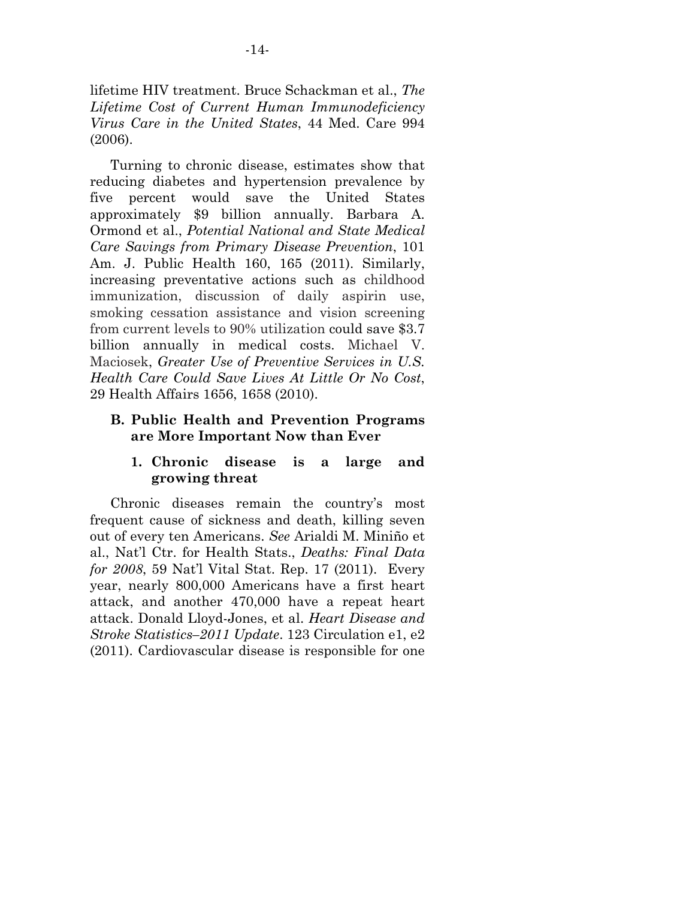lifetime HIV treatment. Bruce Schackman et al., *The Lifetime Cost of Current Human Immunodeficiency Virus Care in the United States*, 44 Med. Care 994 (2006).

 Turning to chronic disease, estimates show that reducing diabetes and hypertension prevalence by five percent would save the United States approximately \$9 billion annually. Barbara A. Ormond et al., *Potential National and State Medical Care Savings from Primary Disease Prevention*, 101 Am. J. Public Health 160, 165 (2011). Similarly, increasing preventative actions such as childhood immunization, discussion of daily aspirin use, smoking cessation assistance and vision screening from current levels to 90% utilization could save \$3.7 billion annually in medical costs. Michael V. Maciosek, *Greater Use of Preventive Services in U.S. Health Care Could Save Lives At Little Or No Cost*, 29 Health Affairs 1656, 1658 (2010).

#### **B. Public Health and Prevention Programs are More Important Now than Ever**

#### **1. Chronic disease is a large and growing threat**

Chronic diseases remain the country's most frequent cause of sickness and death, killing seven out of every ten Americans. *See* Arialdi M. Miniño et al., Nat'l Ctr. for Health Stats., *Deaths: Final Data for 2008*, 59 Nat'l Vital Stat. Rep. 17 (2011). Every year, nearly 800,000 Americans have a first heart attack, and another 470,000 have a repeat heart attack. Donald Lloyd-Jones, et al. *Heart Disease and Stroke Statistics–2011 Update*. 123 Circulation e1, e2 (2011). Cardiovascular disease is responsible for one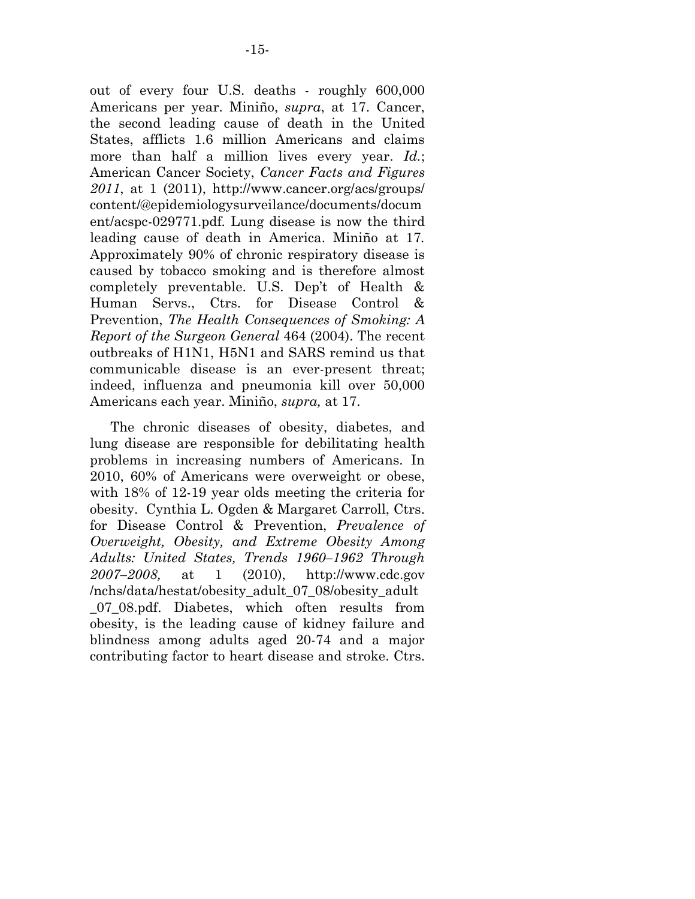out of every four U.S. deaths - roughly 600,000 Americans per year. Miniño, *supra*, at 17. Cancer, the second leading cause of death in the United States, afflicts 1.6 million Americans and claims more than half a million lives every year. *Id.*; American Cancer Society, *Cancer Facts and Figures 2011*, at 1 (2011), http://www.cancer.org/acs/groups/ content/@epidemiologysurveilance/documents/docum ent/acspc-029771.pdf*.* Lung disease is now the third leading cause of death in America. Miniño at 17*.*  Approximately 90% of chronic respiratory disease is caused by tobacco smoking and is therefore almost completely preventable. U.S. Dep't of Health & Human Servs., Ctrs. for Disease Control & Prevention, *The Health Consequences of Smoking: A Report of the Surgeon General* 464 (2004). The recent outbreaks of H1N1, H5N1 and SARS remind us that communicable disease is an ever-present threat; indeed, influenza and pneumonia kill over 50,000 Americans each year. Miniño, *supra,* at 17.

The chronic diseases of obesity, diabetes, and lung disease are responsible for debilitating health problems in increasing numbers of Americans. In 2010, 60% of Americans were overweight or obese, with 18% of 12-19 year olds meeting the criteria for obesity. Cynthia L. Ogden & Margaret Carroll, Ctrs. for Disease Control & Prevention, *Prevalence of Overweight, Obesity, and Extreme Obesity Among Adults: United States, Trends 1960–1962 Through 2007–2008,* at 1 (2010), http://www.cdc.gov /nchs/data/hestat/obesity\_adult\_07\_08/obesity\_adult \_07\_08.pdf. Diabetes, which often results from obesity, is the leading cause of kidney failure and blindness among adults aged 20-74 and a major contributing factor to heart disease and stroke. Ctrs.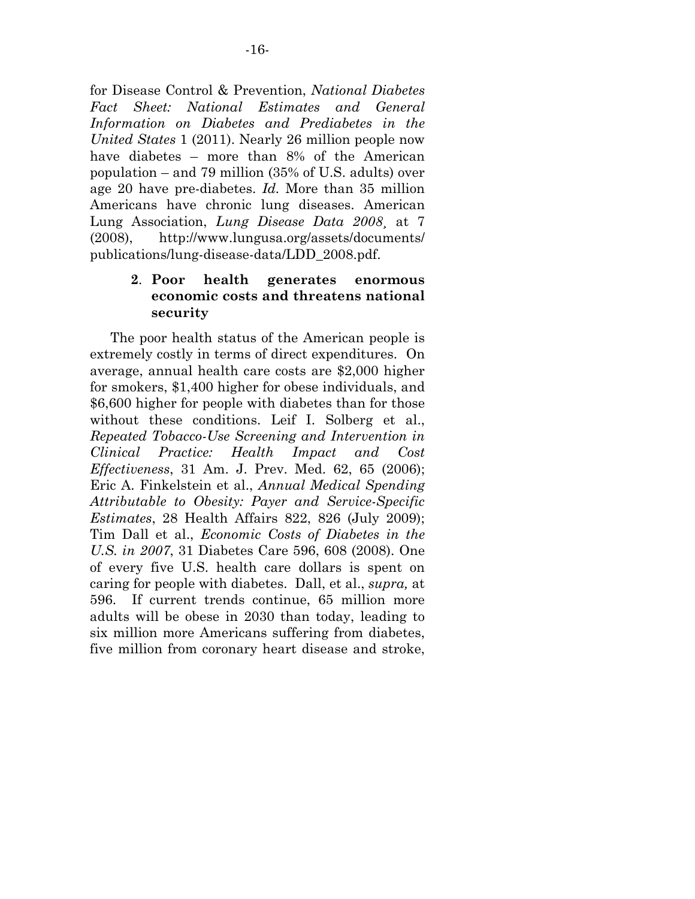for Disease Control & Prevention, *National Diabetes Fact Sheet: National Estimates and General Information on Diabetes and Prediabetes in the United States* 1 (2011). Nearly 26 million people now have diabetes – more than 8% of the American population – and 79 million (35% of U.S. adults) over age 20 have pre-diabetes. *Id.* More than 35 million Americans have chronic lung diseases. American Lung Association, *Lung Disease Data 2008*¸ at 7 (2008), http://www.lungusa.org/assets/documents/ publications/lung-disease-data/LDD\_2008.pdf.

### **2**. **Poor health generates enormous economic costs and threatens national security**

The poor health status of the American people is extremely costly in terms of direct expenditures. On average, annual health care costs are \$2,000 higher for smokers, \$1,400 higher for obese individuals, and \$6,600 higher for people with diabetes than for those without these conditions. Leif I. Solberg et al., *Repeated Tobacco-Use Screening and Intervention in Clinical Practice: Health Impact and Cost Effectiveness*, 31 Am. J. Prev. Med. 62, 65 (2006); Eric A. Finkelstein et al., *Annual Medical Spending Attributable to Obesity: Payer and Service-Specific Estimates*, 28 Health Affairs 822, 826 (July 2009); Tim Dall et al., *Economic Costs of Diabetes in the U.S. in 2007*, 31 Diabetes Care 596, 608 (2008). One of every five U.S. health care dollars is spent on caring for people with diabetes. Dall, et al., *supra,* at 596. If current trends continue, 65 million more adults will be obese in 2030 than today, leading to six million more Americans suffering from diabetes, five million from coronary heart disease and stroke,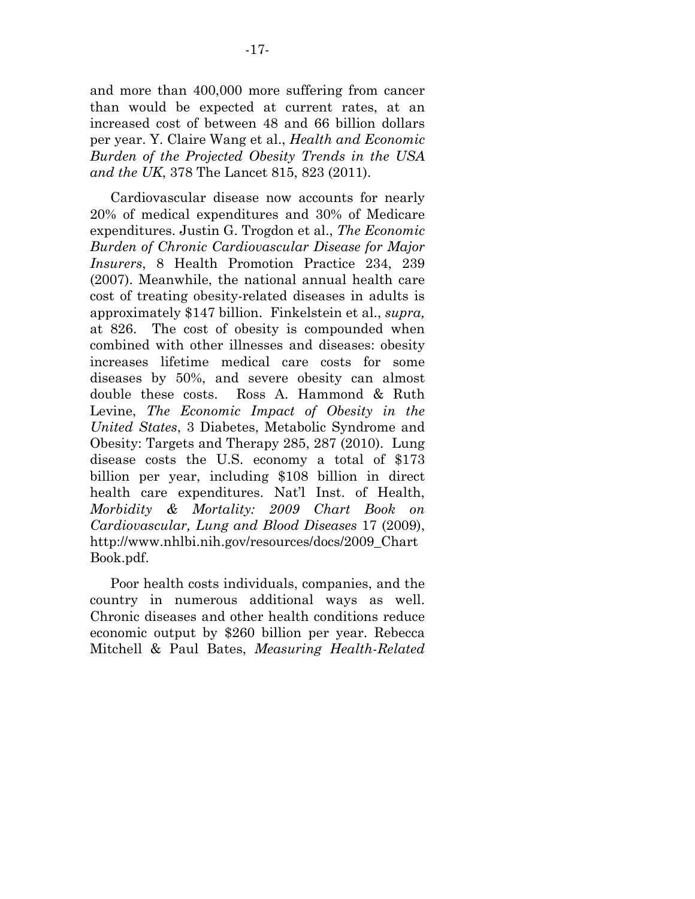and more than 400,000 more suffering from cancer than would be expected at current rates, at an increased cost of between 48 and 66 billion dollars per year. Y. Claire Wang et al., *Health and Economic Burden of the Projected Obesity Trends in the USA and the UK*, 378 The Lancet 815, 823 (2011).

 Cardiovascular disease now accounts for nearly 20% of medical expenditures and 30% of Medicare expenditures. Justin G. Trogdon et al., *The Economic Burden of Chronic Cardiovascular Disease for Major Insurers*, 8 Health Promotion Practice 234, 239 (2007). Meanwhile, the national annual health care cost of treating obesity-related diseases in adults is approximately \$147 billion. Finkelstein et al., *supra,*  at 826. The cost of obesity is compounded when combined with other illnesses and diseases: obesity increases lifetime medical care costs for some diseases by 50%, and severe obesity can almost double these costs. Ross A. Hammond & Ruth Levine, *The Economic Impact of Obesity in the United States*, 3 Diabetes, Metabolic Syndrome and Obesity: Targets and Therapy 285, 287 (2010). Lung disease costs the U.S. economy a total of \$173 billion per year, including \$108 billion in direct health care expenditures. Nat'l Inst. of Health, *Morbidity & Mortality: 2009 Chart Book on Cardiovascular, Lung and Blood Diseases* 17 (2009), http://www.nhlbi.nih.gov/resources/docs/2009\_Chart Book.pdf.

 Poor health costs individuals, companies, and the country in numerous additional ways as well. Chronic diseases and other health conditions reduce economic output by \$260 billion per year. Rebecca Mitchell & Paul Bates, *Measuring Health-Related*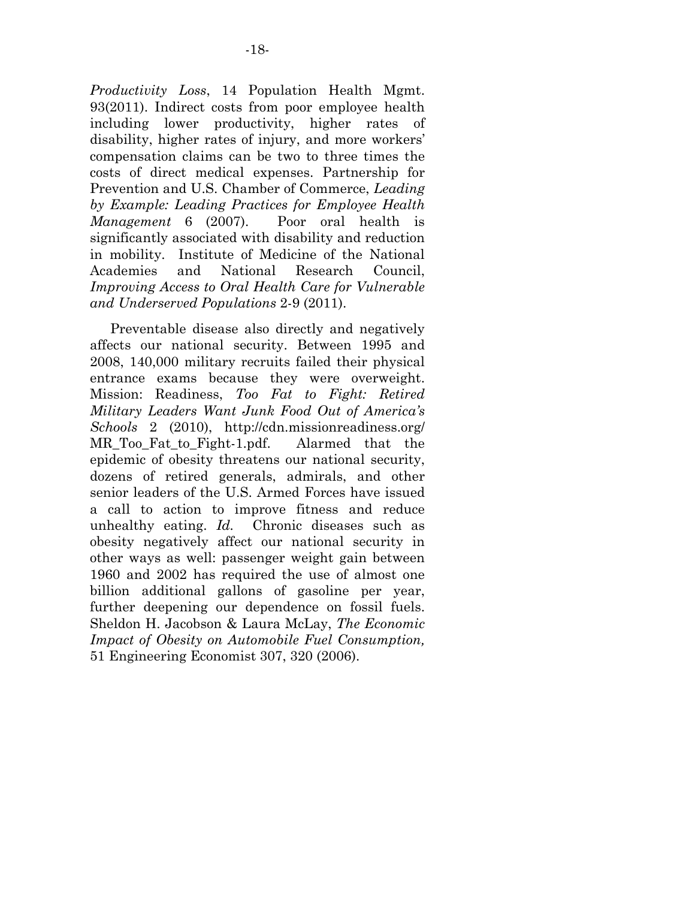*Productivity Loss*, 14 Population Health Mgmt. 93(2011). Indirect costs from poor employee health including lower productivity, higher rates of disability, higher rates of injury, and more workers' compensation claims can be two to three times the costs of direct medical expenses. Partnership for Prevention and U.S. Chamber of Commerce, *Leading by Example: Leading Practices for Employee Health Management* 6 (2007). Poor oral health is significantly associated with disability and reduction in mobility. Institute of Medicine of the National Academies and National Research Council, *Improving Access to Oral Health Care for Vulnerable and Underserved Populations* 2-9 (2011).

 Preventable disease also directly and negatively affects our national security. Between 1995 and 2008, 140,000 military recruits failed their physical entrance exams because they were overweight. Mission: Readiness, *Too Fat to Fight: Retired Military Leaders Want Junk Food Out of America's Schools* 2 (2010), http://cdn.missionreadiness.org/ MR\_Too\_Fat\_to\_Fight-1.pdf. Alarmed that the epidemic of obesity threatens our national security, dozens of retired generals, admirals, and other senior leaders of the U.S. Armed Forces have issued a call to action to improve fitness and reduce unhealthy eating. *Id.* Chronic diseases such as obesity negatively affect our national security in other ways as well: passenger weight gain between 1960 and 2002 has required the use of almost one billion additional gallons of gasoline per year, further deepening our dependence on fossil fuels. Sheldon H. Jacobson & Laura McLay, *The Economic Impact of Obesity on Automobile Fuel Consumption,* 51 Engineering Economist 307, 320 (2006).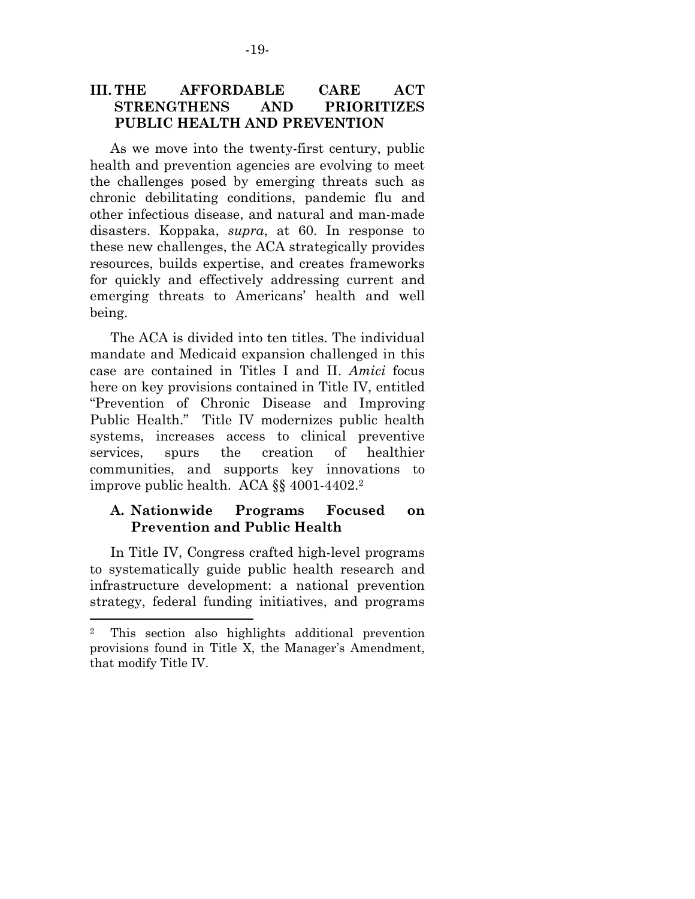### **III. THE AFFORDABLE CARE ACT STRENGTHENS AND PRIORITIZES PUBLIC HEALTH AND PREVENTION**

 As we move into the twenty-first century, public health and prevention agencies are evolving to meet the challenges posed by emerging threats such as chronic debilitating conditions, pandemic flu and other infectious disease, and natural and man-made disasters. Koppaka, *supra*, at 60. In response to these new challenges, the ACA strategically provides resources, builds expertise, and creates frameworks for quickly and effectively addressing current and emerging threats to Americans' health and well being.

 The ACA is divided into ten titles. The individual mandate and Medicaid expansion challenged in this case are contained in Titles I and II. *Amici* focus here on key provisions contained in Title IV, entitled "Prevention of Chronic Disease and Improving Public Health." Title IV modernizes public health systems, increases access to clinical preventive services, spurs the creation of healthier communities, and supports key innovations to improve public health. ACA §§ 4001-4402.2

### **A. Nationwide Programs Focused on Prevention and Public Health**

 In Title IV, Congress crafted high-level programs to systematically guide public health research and infrastructure development: a national prevention strategy, federal funding initiatives, and programs

<sup>2</sup> This section also highlights additional prevention provisions found in Title X, the Manager's Amendment, that modify Title IV.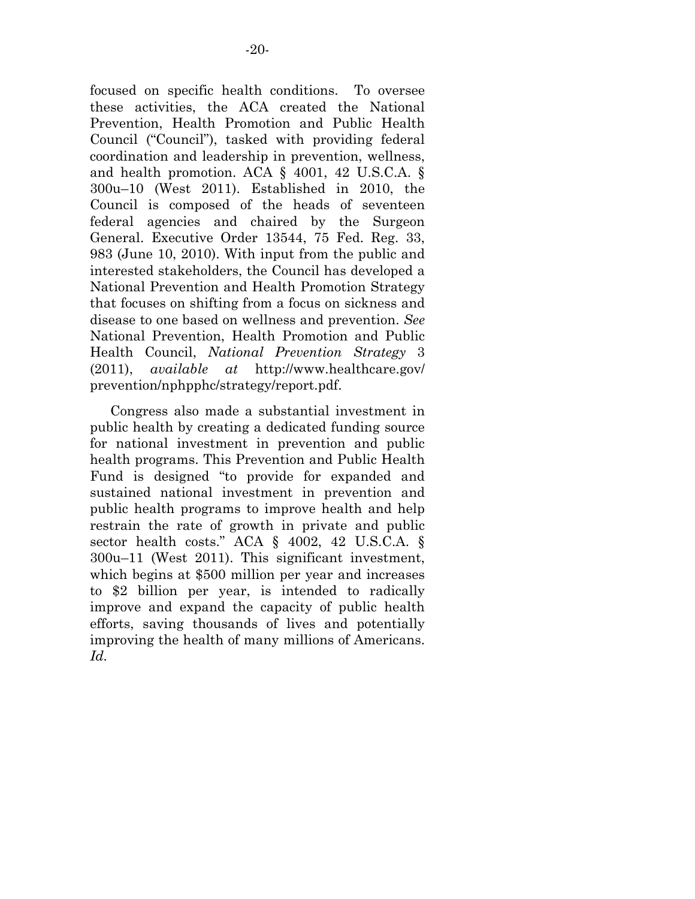focused on specific health conditions. To oversee these activities, the ACA created the National Prevention, Health Promotion and Public Health Council ("Council"), tasked with providing federal coordination and leadership in prevention, wellness, and health promotion. ACA § 4001, 42 U.S.C.A. § 300u–10 (West 2011). Established in 2010, the Council is composed of the heads of seventeen federal agencies and chaired by the Surgeon General. Executive Order 13544, 75 Fed. Reg. 33, 983 (June 10, 2010). With input from the public and interested stakeholders, the Council has developed a National Prevention and Health Promotion Strategy that focuses on shifting from a focus on sickness and disease to one based on wellness and prevention. *See*  National Prevention, Health Promotion and Public Health Council, *National Prevention Strategy* 3 (2011), *available at* http://www.healthcare.gov/ prevention/nphpphc/strategy/report.pdf.

 Congress also made a substantial investment in public health by creating a dedicated funding source for national investment in prevention and public health programs. This Prevention and Public Health Fund is designed "to provide for expanded and sustained national investment in prevention and public health programs to improve health and help restrain the rate of growth in private and public sector health costs." ACA § 4002, 42 U.S.C.A. § 300u–11 (West 2011). This significant investment, which begins at \$500 million per year and increases to \$2 billion per year, is intended to radically improve and expand the capacity of public health efforts, saving thousands of lives and potentially improving the health of many millions of Americans. *Id.*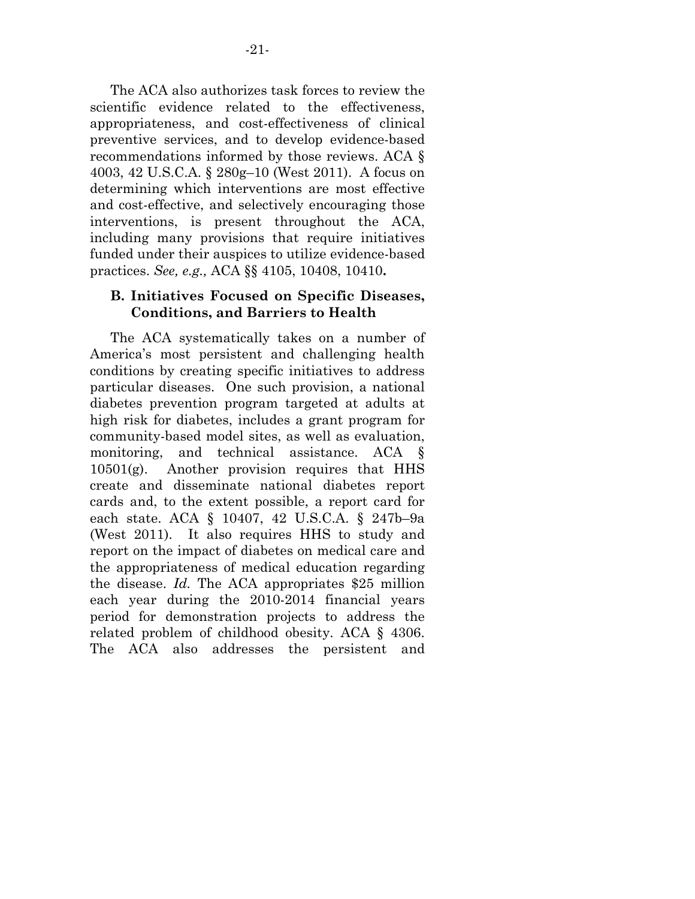The ACA also authorizes task forces to review the scientific evidence related to the effectiveness, appropriateness, and cost-effectiveness of clinical preventive services, and to develop evidence-based recommendations informed by those reviews. ACA § 4003, 42 U.S.C.A. § 280g–10 (West 2011). A focus on determining which interventions are most effective and cost-effective, and selectively encouraging those interventions, is present throughout the ACA, including many provisions that require initiatives funded under their auspices to utilize evidence-based practices. *See, e.g.,* ACA §§ 4105, 10408, 10410**.** 

#### **B. Initiatives Focused on Specific Diseases, Conditions, and Barriers to Health**

 The ACA systematically takes on a number of America's most persistent and challenging health conditions by creating specific initiatives to address particular diseases. One such provision, a national diabetes prevention program targeted at adults at high risk for diabetes, includes a grant program for community-based model sites, as well as evaluation, monitoring, and technical assistance. ACA  $10501(g)$ . Another provision requires that HHS create and disseminate national diabetes report cards and, to the extent possible, a report card for each state. ACA § 10407, 42 U.S.C.A. § 247b–9a (West 2011). It also requires HHS to study and report on the impact of diabetes on medical care and the appropriateness of medical education regarding the disease. *Id.* The ACA appropriates \$25 million each year during the 2010-2014 financial years period for demonstration projects to address the related problem of childhood obesity. ACA § 4306. The ACA also addresses the persistent and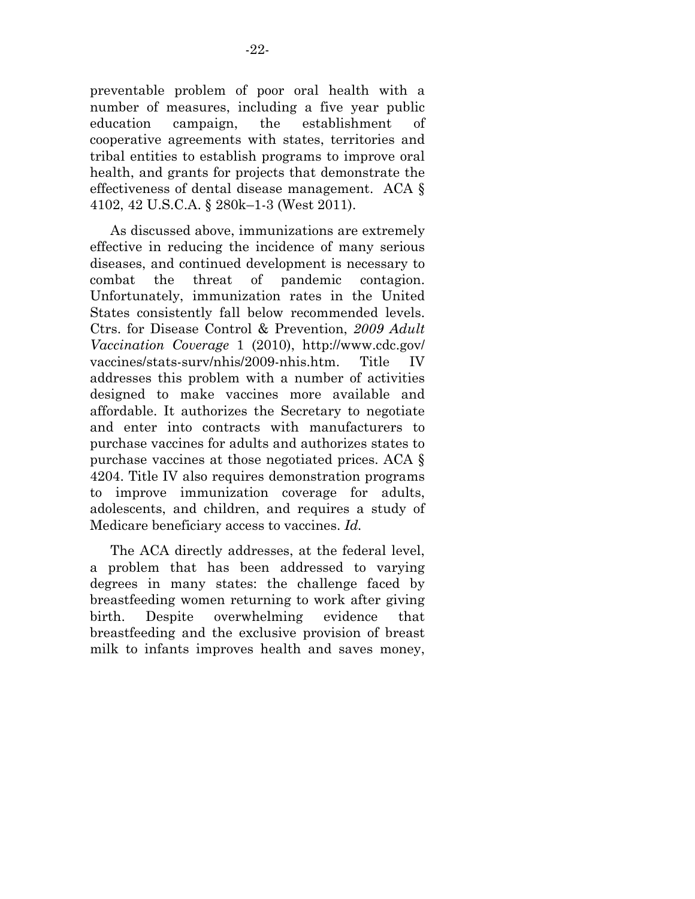preventable problem of poor oral health with a number of measures, including a five year public education campaign, the establishment of cooperative agreements with states, territories and tribal entities to establish programs to improve oral health, and grants for projects that demonstrate the effectiveness of dental disease management. ACA § 4102, 42 U.S.C.A. § 280k–1-3 (West 2011).

 As discussed above, immunizations are extremely effective in reducing the incidence of many serious diseases, and continued development is necessary to combat the threat of pandemic contagion. Unfortunately, immunization rates in the United States consistently fall below recommended levels. Ctrs. for Disease Control & Prevention, *2009 Adult Vaccination Coverage* 1 (2010), http://www.cdc.gov/ vaccines/stats-surv/nhis/2009-nhis.htm. Title IV addresses this problem with a number of activities designed to make vaccines more available and affordable. It authorizes the Secretary to negotiate and enter into contracts with manufacturers to purchase vaccines for adults and authorizes states to purchase vaccines at those negotiated prices. ACA § 4204. Title IV also requires demonstration programs to improve immunization coverage for adults, adolescents, and children, and requires a study of Medicare beneficiary access to vaccines. *Id.*

 The ACA directly addresses, at the federal level, a problem that has been addressed to varying degrees in many states: the challenge faced by breastfeeding women returning to work after giving birth. Despite overwhelming evidence that breastfeeding and the exclusive provision of breast milk to infants improves health and saves money,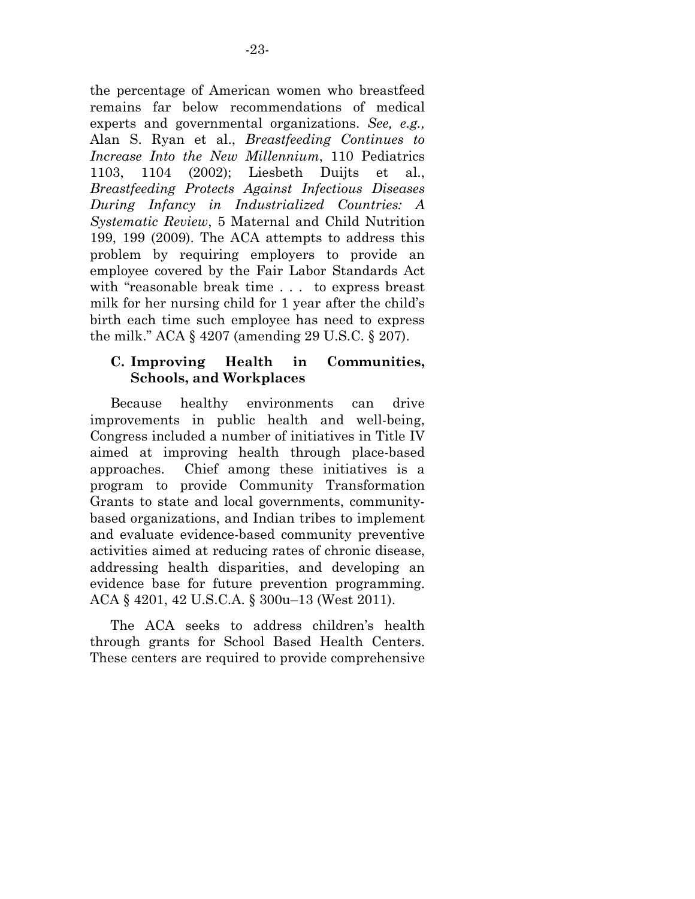the percentage of American women who breastfeed remains far below recommendations of medical experts and governmental organizations. *See, e.g.,*  Alan S. Ryan et al., *Breastfeeding Continues to Increase Into the New Millennium*, 110 Pediatrics 1103, 1104 (2002); Liesbeth Duijts et al., *Breastfeeding Protects Against Infectious Diseases During Infancy in Industrialized Countries: A Systematic Review*, 5 Maternal and Child Nutrition 199, 199 (2009). The ACA attempts to address this problem by requiring employers to provide an employee covered by the Fair Labor Standards Act with "reasonable break time . . . to express breast milk for her nursing child for 1 year after the child's birth each time such employee has need to express the milk." ACA § 4207 (amending 29 U.S.C. § 207).

#### **C. Improving Health in Communities, Schools, and Workplaces**

 Because healthy environments can drive improvements in public health and well-being, Congress included a number of initiatives in Title IV aimed at improving health through place-based approaches. Chief among these initiatives is a program to provide Community Transformation Grants to state and local governments, communitybased organizations, and Indian tribes to implement and evaluate evidence-based community preventive activities aimed at reducing rates of chronic disease, addressing health disparities, and developing an evidence base for future prevention programming. ACA § 4201, 42 U.S.C.A. § 300u–13 (West 2011).

 The ACA seeks to address children's health through grants for School Based Health Centers. These centers are required to provide comprehensive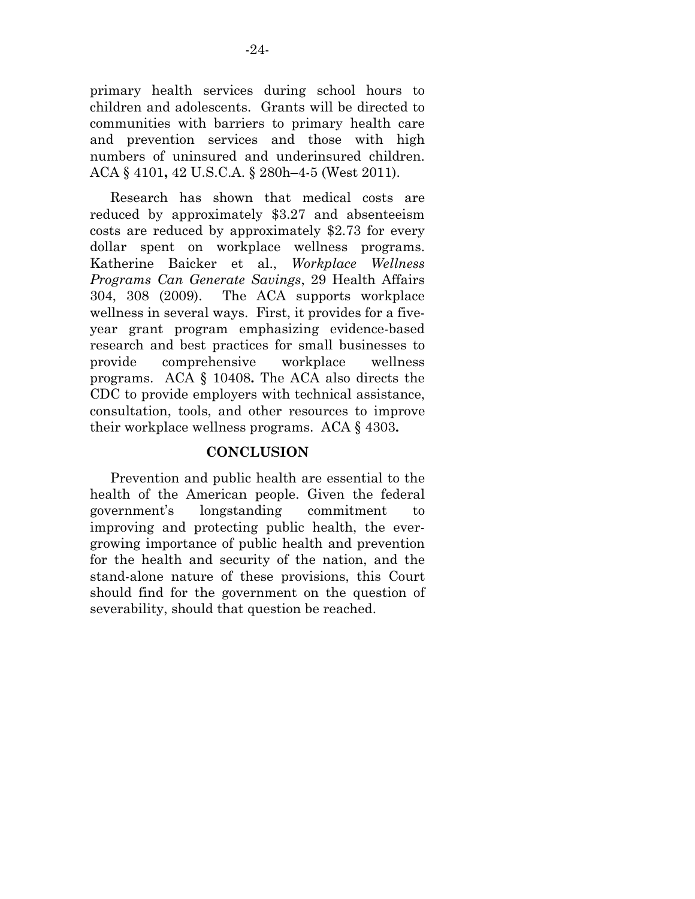primary health services during school hours to children and adolescents. Grants will be directed to communities with barriers to primary health care and prevention services and those with high numbers of uninsured and underinsured children. ACA § 4101**,** 42 U.S.C.A. § 280h–4-5 (West 2011).

 Research has shown that medical costs are reduced by approximately \$3.27 and absenteeism costs are reduced by approximately \$2.73 for every dollar spent on workplace wellness programs. Katherine Baicker et al., *Workplace Wellness Programs Can Generate Savings*, 29 Health Affairs 304, 308 (2009). The ACA supports workplace wellness in several ways. First, it provides for a fiveyear grant program emphasizing evidence-based research and best practices for small businesses to provide comprehensive workplace wellness programs. ACA § 10408**.** The ACA also directs the CDC to provide employers with technical assistance, consultation, tools, and other resources to improve their workplace wellness programs. ACA § 4303**.** 

#### **CONCLUSION**

 Prevention and public health are essential to the health of the American people. Given the federal government's longstanding commitment to improving and protecting public health, the evergrowing importance of public health and prevention for the health and security of the nation, and the stand-alone nature of these provisions, this Court should find for the government on the question of severability, should that question be reached.